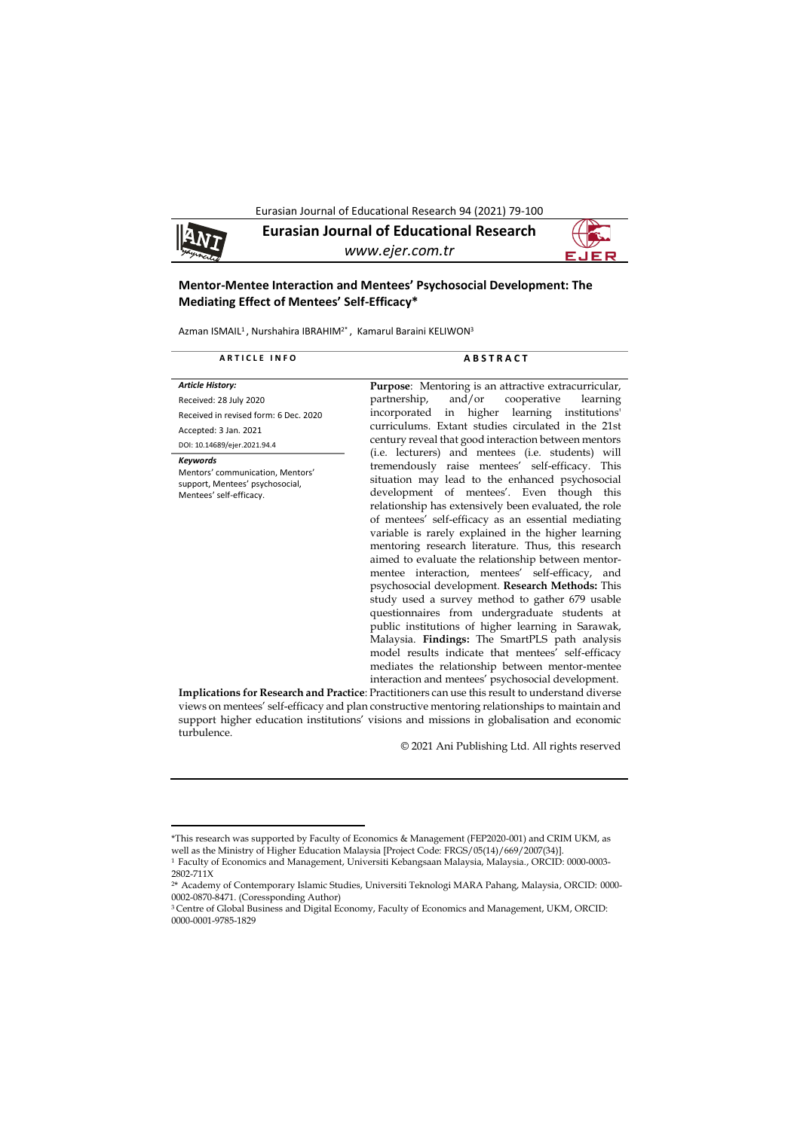Eurasian Journal of Educational Research 94 (2021) 79-100

**Eurasian Journal of Educational Research** 9 N 7 *www.ejer.com.tr*

# **Mentor-Mentee Interaction and Mentees' Psychosocial Development: The Mediating Effect of Mentees' Self-Efficacy\***

Azman ISMAIL<sup>1</sup>, Nurshahira IBRAHIM<sup>2\*</sup>, Kamarul Baraini KELIWON<sup>3</sup>

| <b>ARTICLE INFO</b>                                                                                               | <b>ABSTRACT</b>                                                                                                                                                                                                                                                                                                                                                                                                                                                                                                                                                                                                                                                                                                                                                                                                                                                                                                                                                           |
|-------------------------------------------------------------------------------------------------------------------|---------------------------------------------------------------------------------------------------------------------------------------------------------------------------------------------------------------------------------------------------------------------------------------------------------------------------------------------------------------------------------------------------------------------------------------------------------------------------------------------------------------------------------------------------------------------------------------------------------------------------------------------------------------------------------------------------------------------------------------------------------------------------------------------------------------------------------------------------------------------------------------------------------------------------------------------------------------------------|
| <b>Article History:</b>                                                                                           | <b>Purpose:</b> Mentoring is an attractive extracurricular,                                                                                                                                                                                                                                                                                                                                                                                                                                                                                                                                                                                                                                                                                                                                                                                                                                                                                                               |
| Received: 28 July 2020                                                                                            | and/or cooperative<br>partnership,<br>learning                                                                                                                                                                                                                                                                                                                                                                                                                                                                                                                                                                                                                                                                                                                                                                                                                                                                                                                            |
| Received in revised form: 6 Dec. 2020                                                                             | incorporated in higher learning institutions'                                                                                                                                                                                                                                                                                                                                                                                                                                                                                                                                                                                                                                                                                                                                                                                                                                                                                                                             |
| Accepted: 3 Jan. 2021                                                                                             | curriculums. Extant studies circulated in the 21st                                                                                                                                                                                                                                                                                                                                                                                                                                                                                                                                                                                                                                                                                                                                                                                                                                                                                                                        |
| DOI: 10.14689/ejer.2021.94.4                                                                                      | century reveal that good interaction between mentors                                                                                                                                                                                                                                                                                                                                                                                                                                                                                                                                                                                                                                                                                                                                                                                                                                                                                                                      |
| <b>Keywords</b><br>Mentors' communication, Mentors'<br>support, Mentees' psychosocial,<br>Mentees' self-efficacy. | (i.e. lecturers) and mentees (i.e. students) will<br>tremendously raise mentees' self-efficacy. This<br>situation may lead to the enhanced psychosocial<br>development of mentees'. Even though this<br>relationship has extensively been evaluated, the role<br>of mentees' self-efficacy as an essential mediating<br>variable is rarely explained in the higher learning<br>mentoring research literature. Thus, this research<br>aimed to evaluate the relationship between mentor-<br>mentee interaction, mentees' self-efficacy, and<br>psychosocial development. Research Methods: This<br>study used a survey method to gather 679 usable<br>questionnaires from undergraduate students at<br>public institutions of higher learning in Sarawak,<br>Malaysia. Findings: The SmartPLS path analysis<br>model results indicate that mentees' self-efficacy<br>mediates the relationship between mentor-mentee<br>interaction and mentees' psychosocial development. |
|                                                                                                                   | Implications for Research and Practice: Practitioners can use this result to understand diverse                                                                                                                                                                                                                                                                                                                                                                                                                                                                                                                                                                                                                                                                                                                                                                                                                                                                           |

**Implications for Research and Practice**: Practitioners can use this result to understand diverse views on mentees' self-efficacy and plan constructive mentoring relationships to maintain and support higher education institutions' visions and missions in globalisation and economic turbulence.

© 2021 Ani Publishing Ltd. All rights reserved

1

<sup>\*</sup>This research was supported by Faculty of Economics & Management (FEP2020-001) and CRIM UKM, as well as the Ministry of Higher Education Malaysia [Project Code: FRGS/05(14)/669/2007(34)]. <sup>1</sup> Faculty of Economics and Management, Universiti Kebangsaan Malaysia, Malaysia., ORCID: 0000-0003-

<sup>2802-711</sup>X <sup>2</sup>\* Academy of Contemporary Islamic Studies, Universiti Teknologi MARA Pahang, Malaysia, ORCID: 0000-

<sup>0002-0870-8471. (</sup>Coressponding Author)

<sup>3</sup>Centre of Global Business and Digital Economy, Faculty of Economics and Management, UKM, ORCID: 0000-0001-9785-1829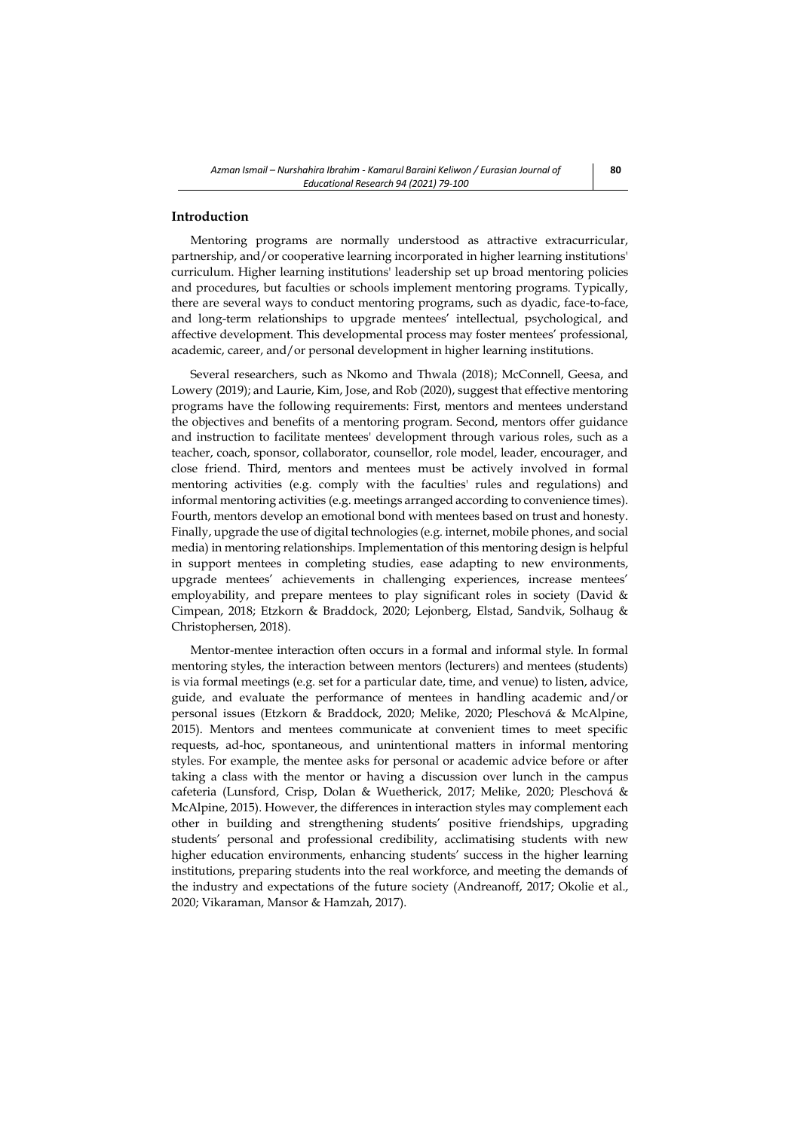## **Introduction**

Mentoring programs are normally understood as attractive extracurricular, partnership, and/or cooperative learning incorporated in higher learning institutions' curriculum. Higher learning institutions' leadership set up broad mentoring policies and procedures, but faculties or schools implement mentoring programs. Typically, there are several ways to conduct mentoring programs, such as dyadic, face-to-face, and long-term relationships to upgrade mentees' intellectual, psychological, and affective development. This developmental process may foster mentees' professional, academic, career, and/or personal development in higher learning institutions.

Several researchers, such as Nkomo and Thwala (2018); McConnell, Geesa, and Lowery (2019); and Laurie, Kim, Jose, and Rob (2020), suggest that effective mentoring programs have the following requirements: First, mentors and mentees understand the objectives and benefits of a mentoring program. Second, mentors offer guidance and instruction to facilitate mentees' development through various roles, such as a teacher, coach, sponsor, collaborator, counsellor, role model, leader, encourager, and close friend. Third, mentors and mentees must be actively involved in formal mentoring activities (e.g. comply with the faculties' rules and regulations) and informal mentoring activities (e.g. meetings arranged according to convenience times). Fourth, mentors develop an emotional bond with mentees based on trust and honesty. Finally, upgrade the use of digital technologies (e.g. internet, mobile phones, and social media) in mentoring relationships. Implementation of this mentoring design is helpful in support mentees in completing studies, ease adapting to new environments, upgrade mentees' achievements in challenging experiences, increase mentees' employability, and prepare mentees to play significant roles in society (David & Cimpean, 2018; Etzkorn & Braddock, 2020; Lejonberg, Elstad, Sandvik, Solhaug & Christophersen, 2018).

Mentor-mentee interaction often occurs in a formal and informal style. In formal mentoring styles, the interaction between mentors (lecturers) and mentees (students) is via formal meetings (e.g. set for a particular date, time, and venue) to listen, advice, guide, and evaluate the performance of mentees in handling academic and/or personal issues (Etzkorn & Braddock, 2020; Melike, 2020; Pleschová & McAlpine, 2015). Mentors and mentees communicate at convenient times to meet specific requests, ad-hoc, spontaneous, and unintentional matters in informal mentoring styles. For example, the mentee asks for personal or academic advice before or after taking a class with the mentor or having a discussion over lunch in the campus cafeteria (Lunsford, Crisp, Dolan & Wuetherick, 2017; Melike, 2020; Pleschová & McAlpine, 2015). However, the differences in interaction styles may complement each other in building and strengthening students' positive friendships, upgrading students' personal and professional credibility, acclimatising students with new higher education environments, enhancing students' success in the higher learning institutions, preparing students into the real workforce, and meeting the demands of the industry and expectations of the future society (Andreanoff, 2017; Okolie et al., 2020; Vikaraman, Mansor & Hamzah, 2017).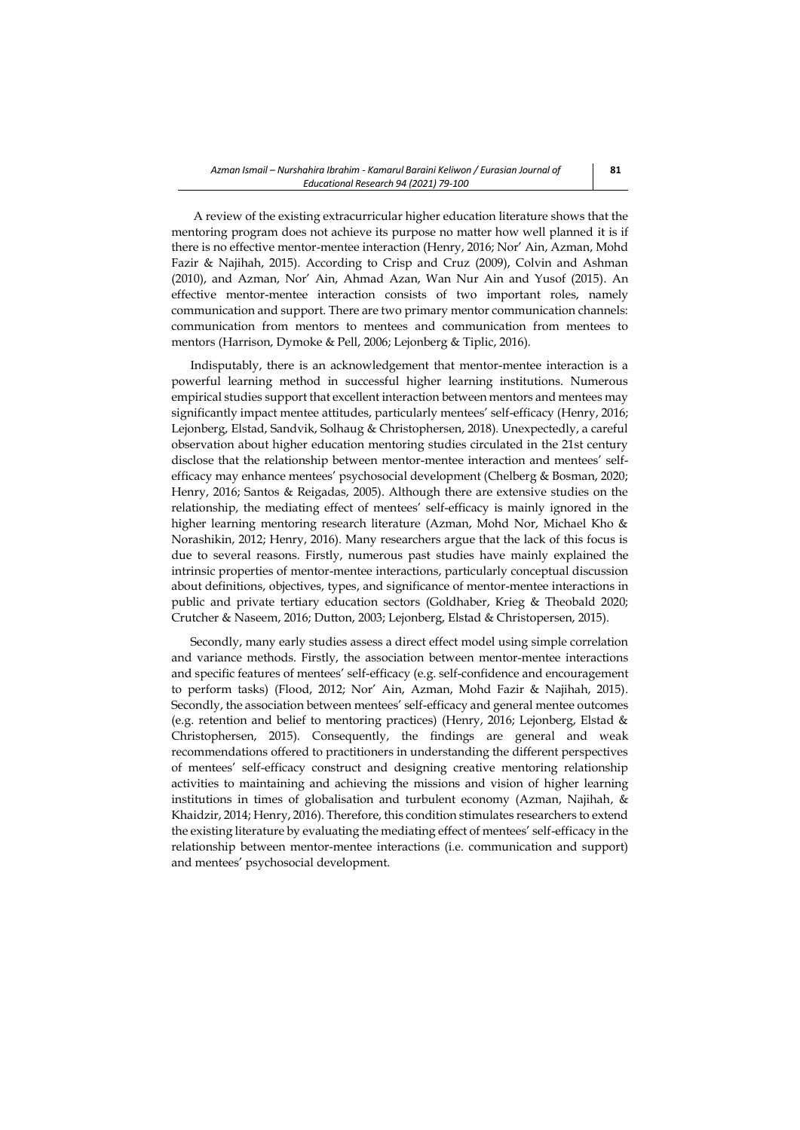A review of the existing extracurricular higher education literature shows that the mentoring program does not achieve its purpose no matter how well planned it is if there is no effective mentor-mentee interaction (Henry, 2016; Nor' Ain, Azman, Mohd Fazir & Najihah, 2015). According to Crisp and Cruz (2009), Colvin and Ashman (2010), and Azman, Nor' Ain, Ahmad Azan, Wan Nur Ain and Yusof (2015). An effective mentor-mentee interaction consists of two important roles, namely communication and support. There are two primary mentor communication channels: communication from mentors to mentees and communication from mentees to mentors (Harrison, Dymoke & Pell, 2006; Lejonberg & Tiplic, 2016).

Indisputably, there is an acknowledgement that mentor-mentee interaction is a powerful learning method in successful higher learning institutions. Numerous empirical studies support that excellent interaction between mentors and mentees may significantly impact mentee attitudes, particularly mentees' self-efficacy (Henry, 2016; Lejonberg, Elstad, Sandvik, Solhaug & Christophersen, 2018). Unexpectedly, a careful observation about higher education mentoring studies circulated in the 21st century disclose that the relationship between mentor-mentee interaction and mentees' selfefficacy may enhance mentees' psychosocial development (Chelberg & Bosman, 2020; Henry, 2016; Santos & Reigadas, 2005). Although there are extensive studies on the relationship, the mediating effect of mentees' self-efficacy is mainly ignored in the higher learning mentoring research literature (Azman, Mohd Nor, Michael Kho & Norashikin, 2012; Henry, 2016). Many researchers argue that the lack of this focus is due to several reasons. Firstly, numerous past studies have mainly explained the intrinsic properties of mentor-mentee interactions, particularly conceptual discussion about definitions, objectives, types, and significance of mentor-mentee interactions in public and private tertiary education sectors (Goldhaber, Krieg & Theobald 2020; Crutcher & Naseem, 2016; Dutton, 2003; Lejonberg, Elstad & Christopersen, 2015).

Secondly, many early studies assess a direct effect model using simple correlation and variance methods. Firstly, the association between mentor-mentee interactions and specific features of mentees' self-efficacy (e.g. self-confidence and encouragement to perform tasks) (Flood, 2012; Nor' Ain, Azman, Mohd Fazir & Najihah, 2015). Secondly, the association between mentees' self-efficacy and general mentee outcomes (e.g. retention and belief to mentoring practices) (Henry, 2016; Lejonberg, Elstad & Christophersen, 2015). Consequently, the findings are general and weak recommendations offered to practitioners in understanding the different perspectives of mentees' self-efficacy construct and designing creative mentoring relationship activities to maintaining and achieving the missions and vision of higher learning institutions in times of globalisation and turbulent economy (Azman, Najihah, & Khaidzir, 2014; Henry, 2016). Therefore, this condition stimulates researchers to extend the existing literature by evaluating the mediating effect of mentees' self-efficacy in the relationship between mentor-mentee interactions (i.e. communication and support) and mentees' psychosocial development.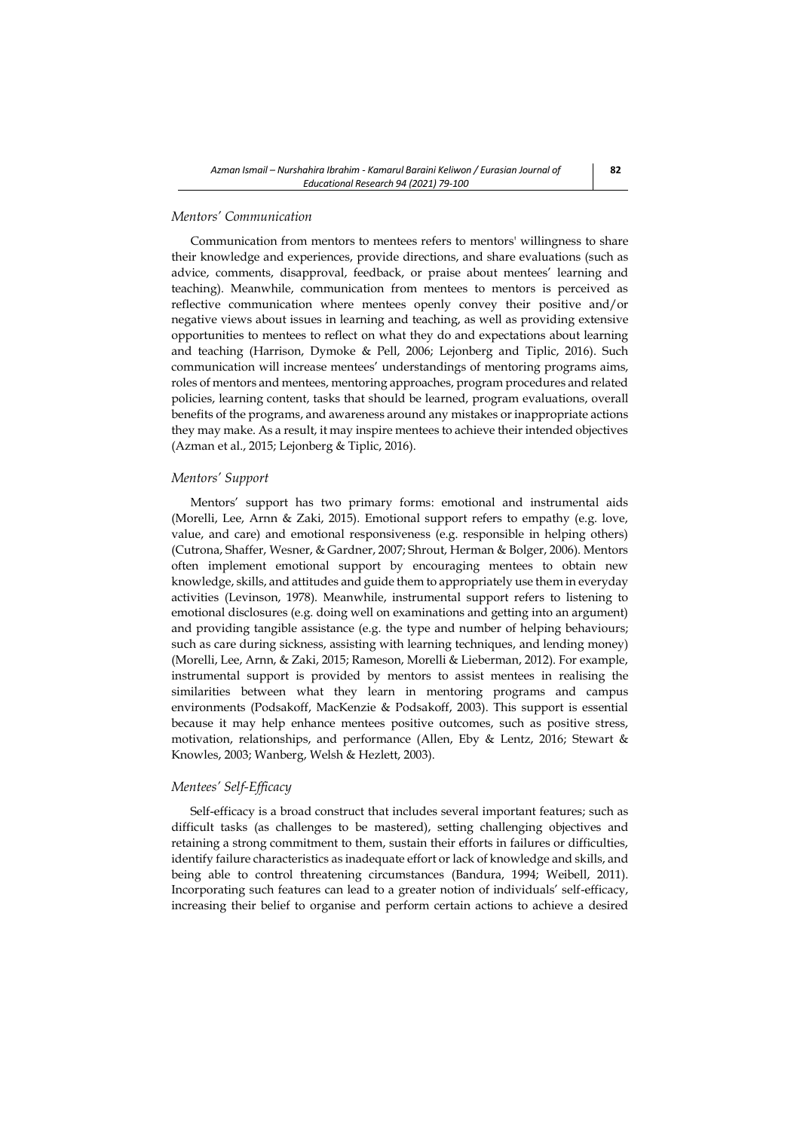## *Mentors' Communication*

Communication from mentors to mentees refers to mentors' willingness to share their knowledge and experiences, provide directions, and share evaluations (such as advice, comments, disapproval, feedback, or praise about mentees' learning and teaching). Meanwhile, communication from mentees to mentors is perceived as reflective communication where mentees openly convey their positive and/or negative views about issues in learning and teaching, as well as providing extensive opportunities to mentees to reflect on what they do and expectations about learning and teaching (Harrison, Dymoke & Pell, 2006; Lejonberg and Tiplic, 2016). Such communication will increase mentees' understandings of mentoring programs aims, roles of mentors and mentees, mentoring approaches, program procedures and related policies, learning content, tasks that should be learned, program evaluations, overall benefits of the programs, and awareness around any mistakes or inappropriate actions they may make. As a result, it may inspire mentees to achieve their intended objectives (Azman et al., 2015; Lejonberg & Tiplic, 2016).

### *Mentors' Support*

Mentors' support has two primary forms: emotional and instrumental aids (Morelli, Lee, Arnn & Zaki, 2015). Emotional support refers to empathy (e.g. love, value, and care) and emotional responsiveness (e.g. responsible in helping others) (Cutrona, Shaffer, Wesner, & Gardner, 2007; Shrout, Herman & Bolger, 2006). Mentors often implement emotional support by encouraging mentees to obtain new knowledge, skills, and attitudes and guide them to appropriately use them in everyday activities (Levinson, 1978). Meanwhile, instrumental support refers to listening to emotional disclosures (e.g. doing well on examinations and getting into an argument) and providing tangible assistance (e.g. the type and number of helping behaviours; such as care during sickness, assisting with learning techniques, and lending money) (Morelli, Lee, Arnn, & Zaki, 2015; Rameson, Morelli & Lieberman, 2012). For example, instrumental support is provided by mentors to assist mentees in realising the similarities between what they learn in mentoring programs and campus environments (Podsakoff, MacKenzie & Podsakoff, 2003). This support is essential because it may help enhance mentees positive outcomes, such as positive stress, motivation, relationships, and performance (Allen, Eby & Lentz, 2016; Stewart & Knowles, 2003; Wanberg, Welsh & Hezlett, 2003).

### *Mentees' Self-Efficacy*

Self-efficacy is a broad construct that includes several important features; such as difficult tasks (as challenges to be mastered), setting challenging objectives and retaining a strong commitment to them, sustain their efforts in failures or difficulties, identify failure characteristics as inadequate effort or lack of knowledge and skills, and being able to control threatening circumstances (Bandura, 1994; Weibell, 2011). Incorporating such features can lead to a greater notion of individuals' self-efficacy, increasing their belief to organise and perform certain actions to achieve a desired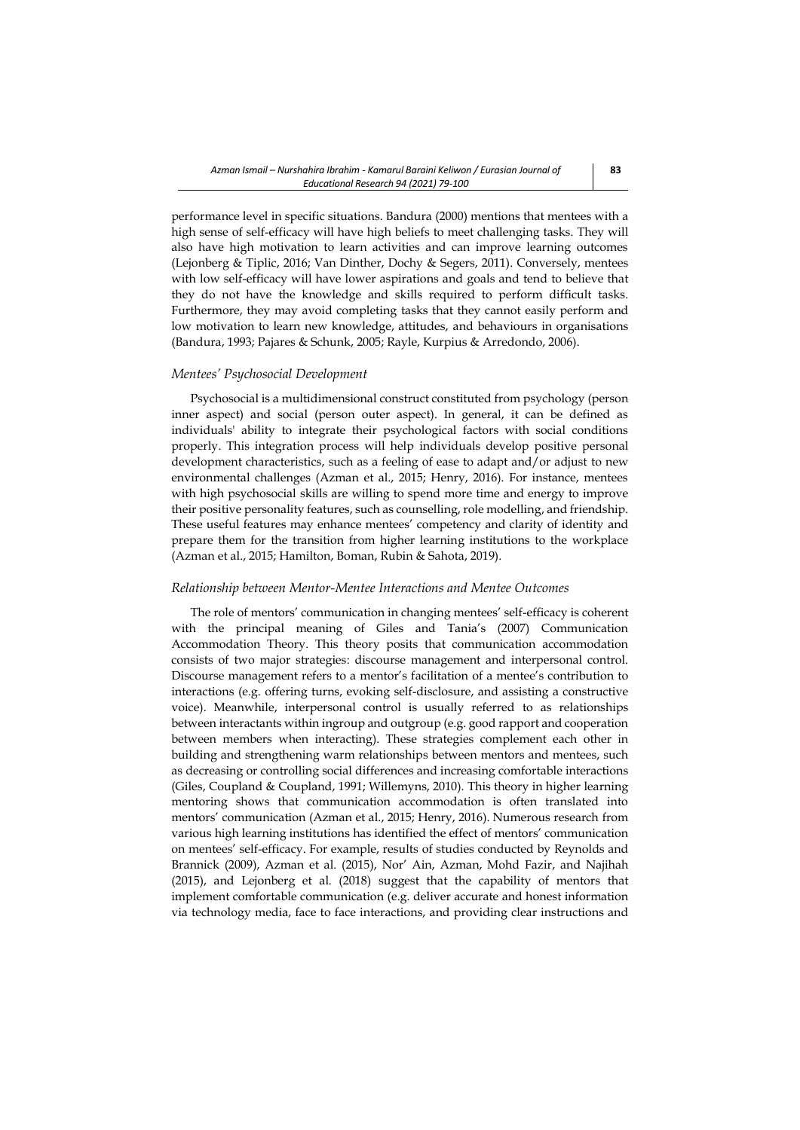performance level in specific situations. Bandura (2000) mentions that mentees with a high sense of self-efficacy will have high beliefs to meet challenging tasks. They will also have high motivation to learn activities and can improve learning outcomes (Lejonberg & Tiplic, 2016; Van Dinther, Dochy & Segers, 2011). Conversely, mentees with low self-efficacy will have lower aspirations and goals and tend to believe that they do not have the knowledge and skills required to perform difficult tasks. Furthermore, they may avoid completing tasks that they cannot easily perform and low motivation to learn new knowledge, attitudes, and behaviours in organisations (Bandura, 1993; Pajares & Schunk, 2005; Rayle, Kurpius & Arredondo, 2006).

# *Mentees' Psychosocial Development*

Psychosocial is a multidimensional construct constituted from psychology (person inner aspect) and social (person outer aspect). In general, it can be defined as individuals' ability to integrate their psychological factors with social conditions properly. This integration process will help individuals develop positive personal development characteristics, such as a feeling of ease to adapt and/or adjust to new environmental challenges (Azman et al., 2015; Henry, 2016). For instance, mentees with high psychosocial skills are willing to spend more time and energy to improve their positive personality features, such as counselling, role modelling, and friendship. These useful features may enhance mentees' competency and clarity of identity and prepare them for the transition from higher learning institutions to the workplace (Azman et al., 2015; Hamilton, Boman, Rubin & Sahota, 2019).

### *Relationship between Mentor-Mentee Interactions and Mentee Outcomes*

The role of mentors' communication in changing mentees' self-efficacy is coherent with the principal meaning of Giles and Tania's (2007) Communication Accommodation Theory. This theory posits that communication accommodation consists of two major strategies: discourse management and interpersonal control. Discourse management refers to a mentor's facilitation of a mentee's contribution to interactions (e.g. offering turns, evoking self-disclosure, and assisting a constructive voice). Meanwhile, interpersonal control is usually referred to as relationships between interactants within ingroup and outgroup (e.g. good rapport and cooperation between members when interacting). These strategies complement each other in building and strengthening warm relationships between mentors and mentees, such as decreasing or controlling social differences and increasing comfortable interactions (Giles, Coupland & Coupland, 1991; Willemyns, 2010). This theory in higher learning mentoring shows that communication accommodation is often translated into mentors' communication (Azman et al., 2015; Henry, 2016). Numerous research from various high learning institutions has identified the effect of mentors' communication on mentees' self-efficacy. For example, results of studies conducted by Reynolds and Brannick (2009), Azman et al. (2015), Nor' Ain, Azman, Mohd Fazir, and Najihah (2015), and Lejonberg et al. (2018) suggest that the capability of mentors that implement comfortable communication (e.g. deliver accurate and honest information via technology media, face to face interactions, and providing clear instructions and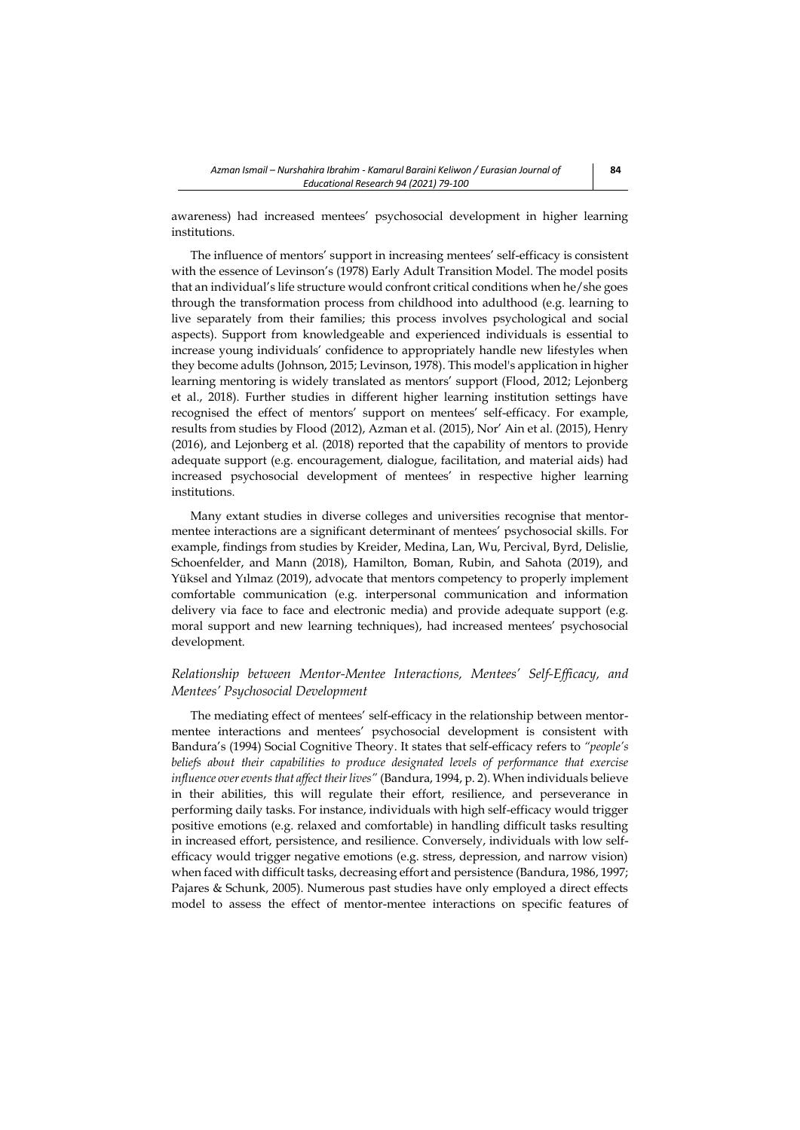awareness) had increased mentees' psychosocial development in higher learning institutions.

The influence of mentors' support in increasing mentees' self-efficacy is consistent with the essence of Levinson's (1978) Early Adult Transition Model. The model posits that an individual's life structure would confront critical conditions when he/she goes through the transformation process from childhood into adulthood (e.g. learning to live separately from their families; this process involves psychological and social aspects). Support from knowledgeable and experienced individuals is essential to increase young individuals' confidence to appropriately handle new lifestyles when they become adults (Johnson, 2015; Levinson, 1978). This model's application in higher learning mentoring is widely translated as mentors' support (Flood, 2012; Lejonberg et al., 2018). Further studies in different higher learning institution settings have recognised the effect of mentors' support on mentees' self-efficacy. For example, results from studies by Flood (2012), Azman et al. (2015), Nor' Ain et al. (2015), Henry (2016), and Lejonberg et al. (2018) reported that the capability of mentors to provide adequate support (e.g. encouragement, dialogue, facilitation, and material aids) had increased psychosocial development of mentees' in respective higher learning institutions.

Many extant studies in diverse colleges and universities recognise that mentormentee interactions are a significant determinant of mentees' psychosocial skills. For example, findings from studies by [Kreider,](https://www-scopus-com.ezplib.ukm.my/authid/detail.uri?authorId=55744420300&eid=2-s2.0-85052214013) [Medina,](https://www-scopus-com.ezplib.ukm.my/authid/detail.uri?authorId=57203550075&eid=2-s2.0-85052214013) [Lan,](https://www-scopus-com.ezplib.ukm.my/authid/detail.uri?authorId=57203549365&eid=2-s2.0-85052214013) [Wu,](https://www-scopus-com.ezplib.ukm.my/authid/detail.uri?authorId=55557609800&eid=2-s2.0-85052214013) [Percival,](https://www-scopus-com.ezplib.ukm.my/authid/detail.uri?authorId=7004837392&eid=2-s2.0-85052214013) [Byrd,](https://www-scopus-com.ezplib.ukm.my/authid/detail.uri?authorId=57203554605&eid=2-s2.0-85052214013) [Delislie,](https://www-scopus-com.ezplib.ukm.my/authid/detail.uri?authorId=57203554454&eid=2-s2.0-85052214013) [Schoenfelder,](https://www-scopus-com.ezplib.ukm.my/authid/detail.uri?authorId=57203547330&eid=2-s2.0-85052214013) and [Mann](https://www-scopus-com.ezplib.ukm.my/authid/detail.uri?authorId=7202441561&eid=2-s2.0-85052214013) (2018), Hamilton, Boman, Rubin, and Sahota (2019), and [Yüksel and Yılmaz \(](https://www.sciencedirect.com/science/article/abs/pii/S0260691719304903#!)2019), advocate that mentors competency to properly implement comfortable communication (e.g. interpersonal communication and information delivery via face to face and electronic media) and provide adequate support (e.g. moral support and new learning techniques), had increased mentees' psychosocial development.

# *Relationship between Mentor-Mentee Interactions, Mentees' Self-Efficacy, and Mentees' Psychosocial Development*

The mediating effect of mentees' self-efficacy in the relationship between mentormentee interactions and mentees' psychosocial development is consistent with Bandura's (1994) Social Cognitive Theory. It states that self-efficacy refers to *"people's beliefs about their capabilities to produce designated levels of performance that exercise influence over events that affect their lives"* (Bandura, 1994, p. 2). When individuals believe in their abilities, this will regulate their effort, resilience, and perseverance in performing daily tasks. For instance, individuals with high self-efficacy would trigger positive emotions (e.g. relaxed and comfortable) in handling difficult tasks resulting in increased effort, persistence, and resilience. Conversely, individuals with low selfefficacy would trigger negative emotions (e.g. stress, depression, and narrow vision) when faced with difficult tasks, decreasing effort and persistence (Bandura, 1986, 1997; Pajares & Schunk, 2005). Numerous past studies have only employed a direct effects model to assess the effect of mentor-mentee interactions on specific features of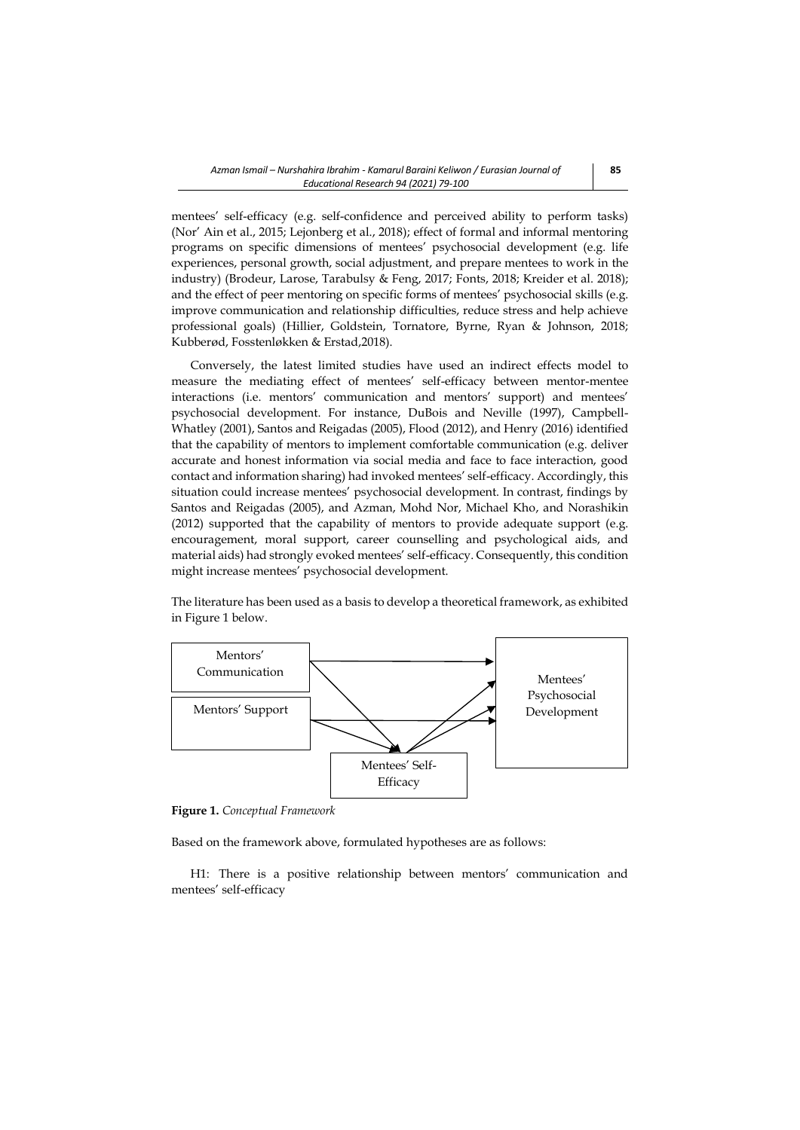mentees' self-efficacy (e.g. self-confidence and perceived ability to perform tasks) (Nor' Ain et al., 2015; Lejonberg et al., 2018); effect of formal and informal mentoring programs on specific dimensions of mentees' psychosocial development (e.g. life experiences, personal growth, social adjustment, and prepare mentees to work in the industry) (Brodeur, Larose, Tarabulsy & Feng, 2017; Fonts, 2018; Kreider et al. 2018); and the effect of peer mentoring on specific forms of mentees' psychosocial skills (e.g. improve communication and relationship difficulties, reduce stress and help achieve professional goals) (Hillier, Goldstein, Tornatore, Byrne, Ryan & Johnson, 2018; Kubberød, Fosstenløkken & Erstad,2018).

Conversely, the latest limited studies have used an indirect effects model to measure the mediating effect of mentees' self-efficacy between mentor-mentee interactions (i.e. mentors' communication and mentors' support) and mentees' psychosocial development. For instance, DuBois and Neville (1997), Campbell-Whatley (2001), Santos and Reigadas (2005), Flood (2012), and Henry (2016) identified that the capability of mentors to implement comfortable communication (e.g. deliver accurate and honest information via social media and face to face interaction, good contact and information sharing) had invoked mentees' self-efficacy. Accordingly, this situation could increase mentees' psychosocial development. In contrast, findings by Santos and Reigadas (2005), and Azman, Mohd Nor, Michael Kho, and Norashikin (2012) supported that the capability of mentors to provide adequate support (e.g. encouragement, moral support, career counselling and psychological aids, and material aids) had strongly evoked mentees' self-efficacy. Consequently, this condition might increase mentees' psychosocial development.

The literature has been used as a basis to develop a theoretical framework, as exhibited in Figure 1 below.



**Figure 1.** *Conceptual Framework*

Based on the framework above, formulated hypotheses are as follows:

H1: There is a positive relationship between mentors' communication and mentees' self-efficacy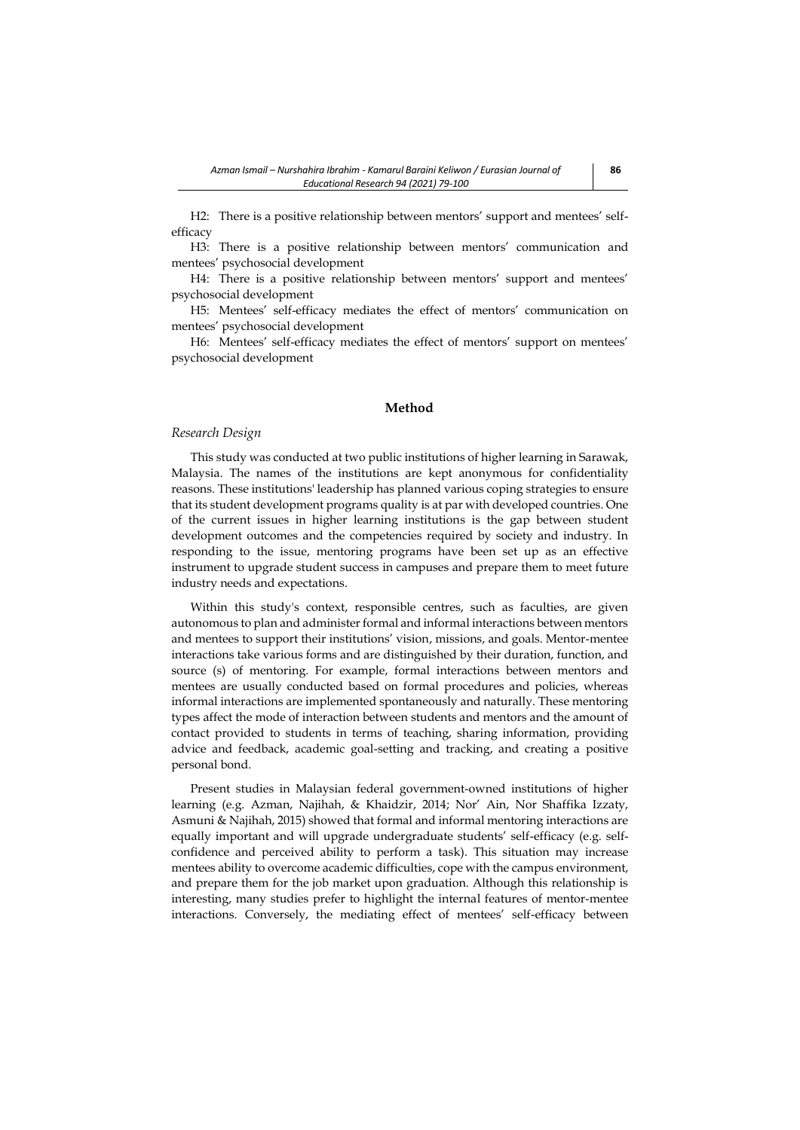H2: There is a positive relationship between mentors' support and mentees' selfefficacy

H3: There is a positive relationship between mentors' communication and mentees' psychosocial development

H4: There is a positive relationship between mentors' support and mentees' psychosocial development

H5: Mentees' self-efficacy mediates the effect of mentors' communication on mentees' psychosocial development

H6: Mentees' self-efficacy mediates the effect of mentors' support on mentees' psychosocial development

## **Method**

## *Research Design*

This study was conducted at two public institutions of higher learning in Sarawak, Malaysia. The names of the institutions are kept anonymous for confidentiality reasons. These institutions' leadership has planned various coping strategies to ensure that its student development programs quality is at par with developed countries. One of the current issues in higher learning institutions is the gap between student development outcomes and the competencies required by society and industry. In responding to the issue, mentoring programs have been set up as an effective instrument to upgrade student success in campuses and prepare them to meet future industry needs and expectations.

Within this study's context, responsible centres, such as faculties, are given autonomous to plan and administer formal and informal interactions between mentors and mentees to support their institutions' vision, missions, and goals. Mentor-mentee interactions take various forms and are distinguished by their duration, function, and source (s) of mentoring. For example, formal interactions between mentors and mentees are usually conducted based on formal procedures and policies, whereas informal interactions are implemented spontaneously and naturally. These mentoring types affect the mode of interaction between students and mentors and the amount of contact provided to students in terms of teaching, sharing information, providing advice and feedback, academic goal-setting and tracking, and creating a positive personal bond.

Present studies in Malaysian federal government-owned institutions of higher learning (e.g. Azman, Najihah, & Khaidzir, 2014; Nor' Ain, Nor Shaffika Izzaty, Asmuni & Najihah, 2015) showed that formal and informal mentoring interactions are equally important and will upgrade undergraduate students' self-efficacy (e.g. selfconfidence and perceived ability to perform a task). This situation may increase mentees ability to overcome academic difficulties, cope with the campus environment, and prepare them for the job market upon graduation. Although this relationship is interesting, many studies prefer to highlight the internal features of mentor-mentee interactions. Conversely, the mediating effect of mentees' self-efficacy between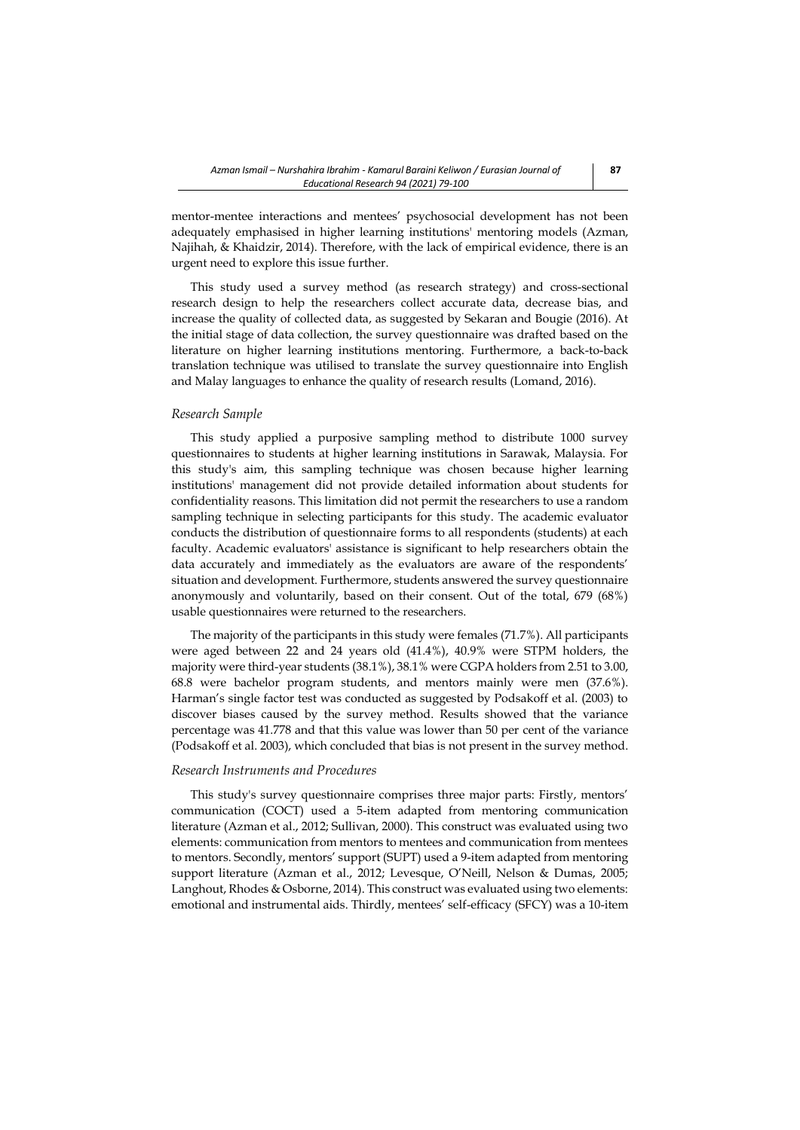mentor-mentee interactions and mentees' psychosocial development has not been adequately emphasised in higher learning institutions' mentoring models (Azman, Najihah, & Khaidzir, 2014). Therefore, with the lack of empirical evidence, there is an urgent need to explore this issue further.

This study used a survey method (as research strategy) and cross-sectional research design to help the researchers collect accurate data, decrease bias, and increase the quality of collected data, as suggested by Sekaran and Bougie (2016). At the initial stage of data collection, the survey questionnaire was drafted based on the literature on higher learning institutions mentoring. Furthermore, a back-to-back translation technique was utilised to translate the survey questionnaire into English and Malay languages to enhance the quality of research results (Lomand, 2016).

### *Research Sample*

This study applied a purposive sampling method to distribute 1000 survey questionnaires to students at higher learning institutions in Sarawak, Malaysia. For this study's aim, this sampling technique was chosen because higher learning institutions' management did not provide detailed information about students for confidentiality reasons. This limitation did not permit the researchers to use a random sampling technique in selecting participants for this study. The academic evaluator conducts the distribution of questionnaire forms to all respondents (students) at each faculty. Academic evaluators' assistance is significant to help researchers obtain the data accurately and immediately as the evaluators are aware of the respondents' situation and development. Furthermore, students answered the survey questionnaire anonymously and voluntarily, based on their consent. Out of the total, 679 (68%) usable questionnaires were returned to the researchers.

The majority of the participants in this study were females (71.7%). All participants were aged between 22 and 24 years old (41.4%), 40.9% were STPM holders, the majority were third-year students (38.1%), 38.1% were CGPA holders from 2.51 to 3.00, 68.8 were bachelor program students, and mentors mainly were men (37.6%). Harman's single factor test was conducted as suggested by Podsakoff et al. (2003) to discover biases caused by the survey method. Results showed that the variance percentage was 41.778 and that this value was lower than 50 per cent of the variance (Podsakoff et al. 2003), which concluded that bias is not present in the survey method.

### *Research Instruments and Procedures*

This study's survey questionnaire comprises three major parts: Firstly, mentors' communication (COCT) used a 5-item adapted from mentoring communication literature (Azman et al., 2012; Sullivan, 2000). This construct was evaluated using two elements: communication from mentors to mentees and communication from mentees to mentors. Secondly, mentors' support (SUPT) used a 9-item adapted from mentoring support literature (Azman et al., 2012; Levesque, O'Neill, Nelson & Dumas, 2005; Langhout, Rhodes & Osborne, 2014). This construct was evaluated using two elements: emotional and instrumental aids. Thirdly, mentees' self-efficacy (SFCY) was a 10-item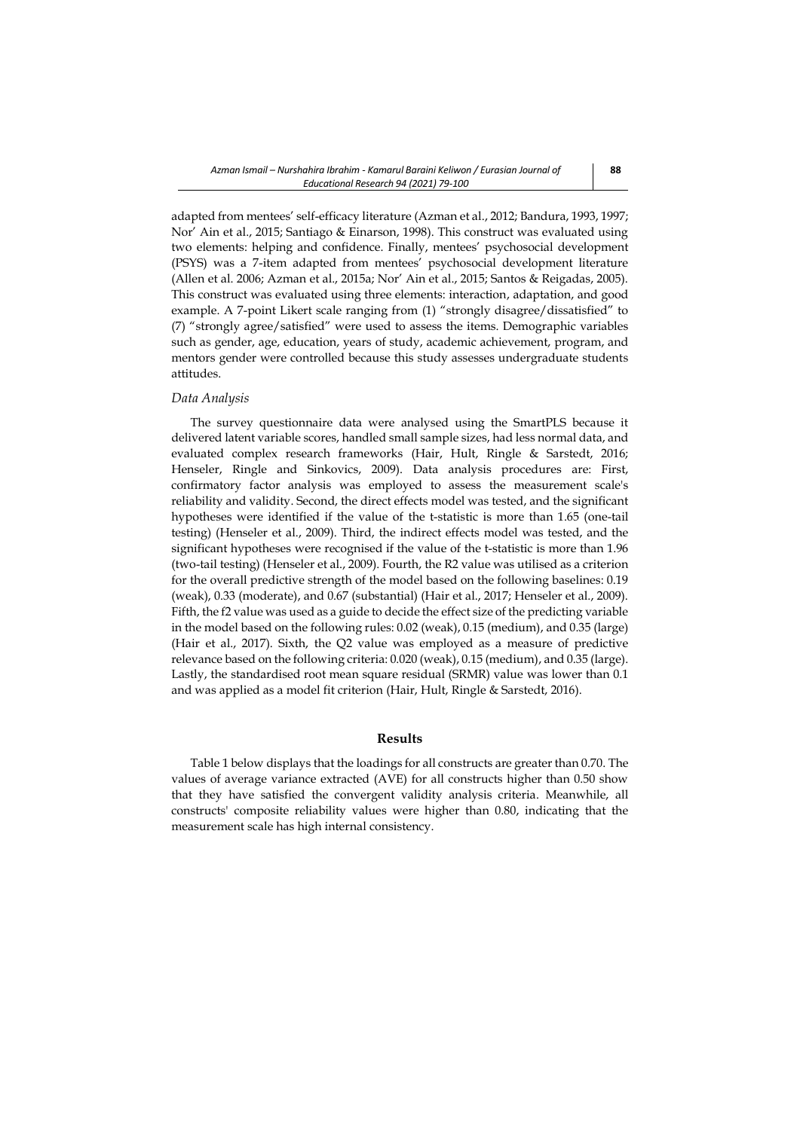adapted from mentees' self-efficacy literature (Azman et al., 2012; Bandura, 1993, 1997; Nor' Ain et al., 2015; Santiago & Einarson, 1998). This construct was evaluated using two elements: helping and confidence. Finally, mentees' psychosocial development (PSYS) was a 7-item adapted from mentees' psychosocial development literature (Allen et al. 2006; Azman et al., 2015a; Nor' Ain et al., 2015; Santos & Reigadas, 2005). This construct was evaluated using three elements: interaction, adaptation, and good example. A 7-point Likert scale ranging from (1) "strongly disagree/dissatisfied" to (7) "strongly agree/satisfied" were used to assess the items. Demographic variables such as gender, age, education, years of study, academic achievement, program, and mentors gender were controlled because this study assesses undergraduate students attitudes.

#### *Data Analysis*

The survey questionnaire data were analysed using the SmartPLS because it delivered latent variable scores, handled small sample sizes, had less normal data, and evaluated complex research frameworks (Hair, Hult, Ringle & Sarstedt, 2016; Henseler, Ringle and Sinkovics, 2009). Data analysis procedures are: First, confirmatory factor analysis was employed to assess the measurement scale's reliability and validity. Second, the direct effects model was tested, and the significant hypotheses were identified if the value of the t-statistic is more than 1.65 (one-tail testing) (Henseler et al., 2009). Third, the indirect effects model was tested, and the significant hypotheses were recognised if the value of the t-statistic is more than 1.96 (two-tail testing) (Henseler et al., 2009). Fourth, the R2 value was utilised as a criterion for the overall predictive strength of the model based on the following baselines: 0.19 (weak), 0.33 (moderate), and 0.67 (substantial) (Hair et al., 2017; Henseler et al., 2009). Fifth, the f2 value was used as a guide to decide the effect size of the predicting variable in the model based on the following rules: 0.02 (weak), 0.15 (medium), and 0.35 (large) (Hair et al., 2017). Sixth, the Q2 value was employed as a measure of predictive relevance based on the following criteria: 0.020 (weak), 0.15 (medium), and 0.35 (large). Lastly, the standardised root mean square residual (SRMR) value was lower than 0.1 and was applied as a model fit criterion (Hair, Hult, Ringle & Sarstedt, 2016).

## **Results**

Table 1 below displays that the loadings for all constructs are greater than 0.70. The values of average variance extracted (AVE) for all constructs higher than 0.50 show that they have satisfied the convergent validity analysis criteria. Meanwhile, all constructs' composite reliability values were higher than 0.80, indicating that the measurement scale has high internal consistency.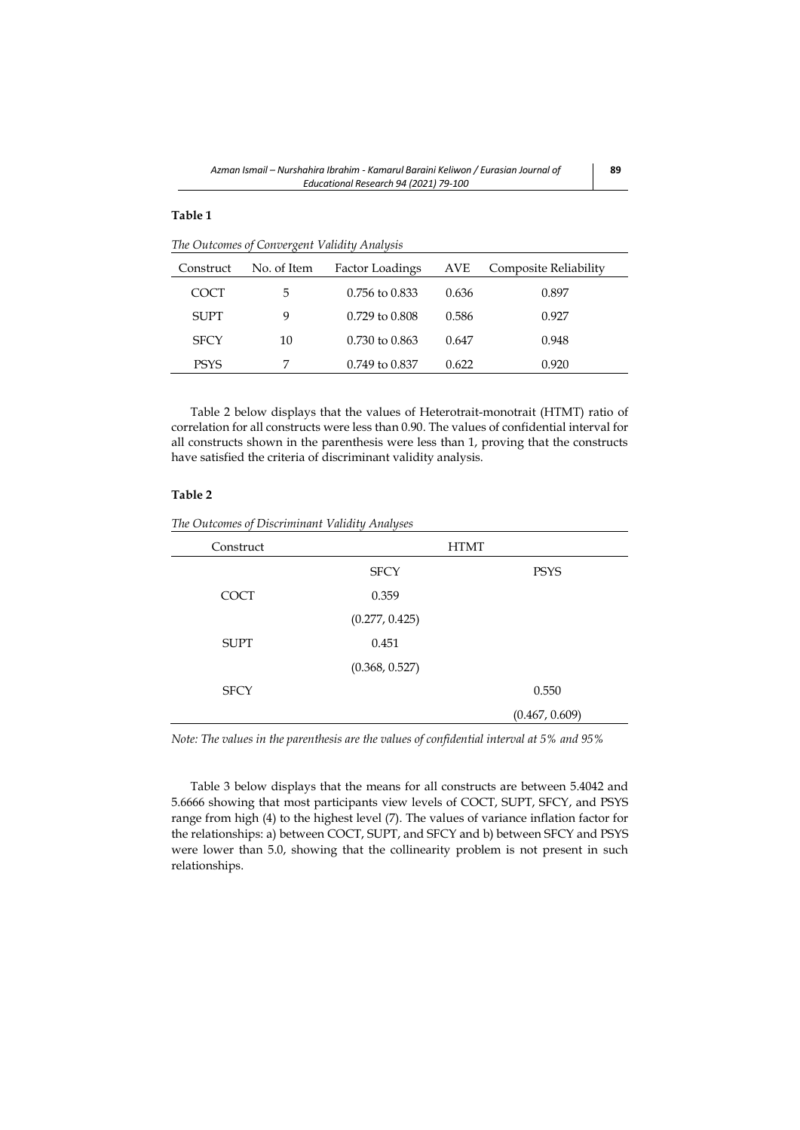# **Table 1**

*The Outcomes of Convergent Validity Analysis*

| Construct   | No. of Item | Factor Loadings           | AVE   | Composite Reliability |
|-------------|-------------|---------------------------|-------|-----------------------|
| COCT        | 5           | $0.756$ to $0.833$        | 0.636 | 0.897                 |
| <b>SUPT</b> | 9           | $0.729$ to $0.808$        | 0.586 | 0.927                 |
| <b>SFCY</b> | 10          | $0.730 \text{ to } 0.863$ | 0.647 | 0.948                 |
| <b>PSYS</b> | 7           | 0.749 to 0.837            | 0.622 | 0.920                 |

Table 2 below displays that the values of Heterotrait-monotrait (HTMT) ratio of correlation for all constructs were less than 0.90. The values of confidential interval for all constructs shown in the parenthesis were less than 1, proving that the constructs have satisfied the criteria of discriminant validity analysis.

# **Table 2**

| Construct   |                | <b>HTMT</b>    |
|-------------|----------------|----------------|
|             | <b>SFCY</b>    | <b>PSYS</b>    |
| <b>COCT</b> | 0.359          |                |
|             | (0.277, 0.425) |                |
| <b>SUPT</b> | 0.451          |                |
|             | (0.368, 0.527) |                |
| <b>SFCY</b> |                | 0.550          |
|             |                | (0.467, 0.609) |

*The Outcomes of Discriminant Validity Analyses*

*Note: The values in the parenthesis are the values of confidential interval at 5% and 95%*

Table 3 below displays that the means for all constructs are between 5.4042 and 5.6666 showing that most participants view levels of COCT, SUPT, SFCY, and PSYS range from high (4) to the highest level (7). The values of variance inflation factor for the relationships: a) between COCT, SUPT, and SFCY and b) between SFCY and PSYS were lower than 5.0, showing that the collinearity problem is not present in such relationships.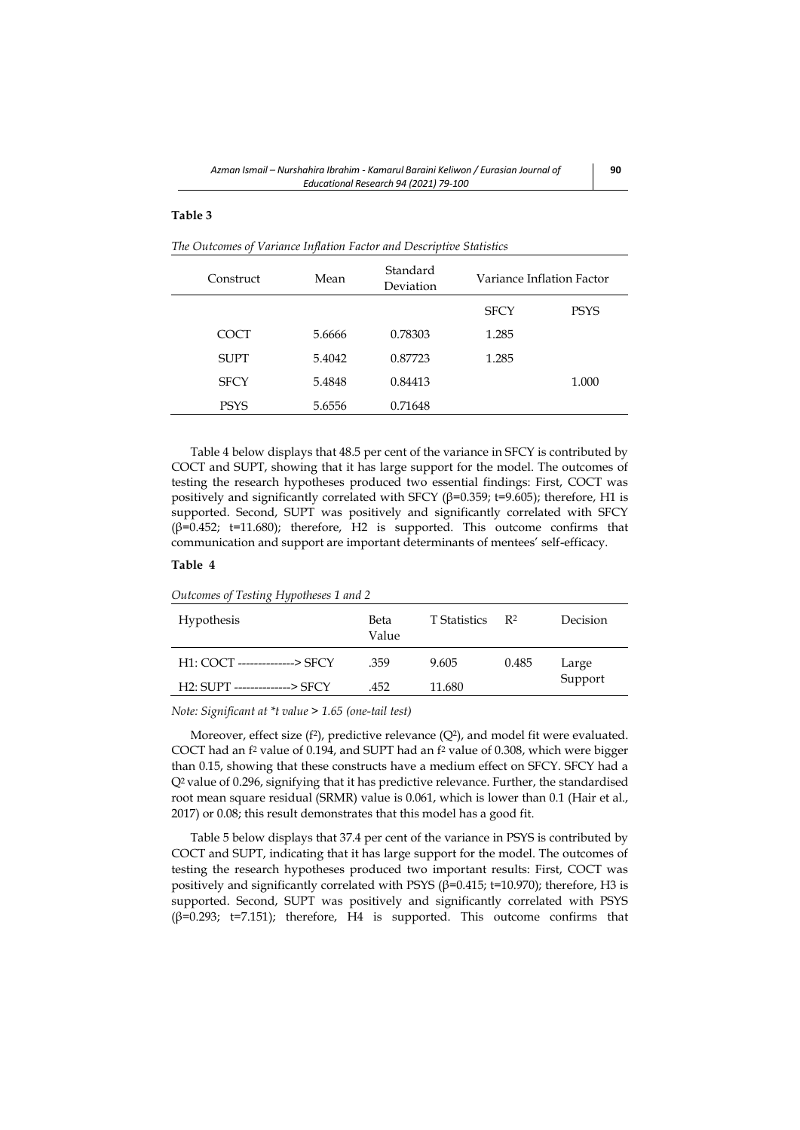## **Table 3**

*The Outcomes of Variance Inflation Factor and Descriptive Statistics*

| Construct   | Mean   | Standard<br>Deviation | Variance Inflation Factor |             |
|-------------|--------|-----------------------|---------------------------|-------------|
|             |        |                       | <b>SFCY</b>               | <b>PSYS</b> |
| COCT        | 5.6666 | 0.78303               | 1.285                     |             |
| <b>SUPT</b> | 5.4042 | 0.87723               | 1.285                     |             |
| <b>SFCY</b> | 5.4848 | 0.84413               |                           | 1.000       |
| PSYS        | 5.6556 | 0.71648               |                           |             |

Table 4 below displays that 48.5 per cent of the variance in SFCY is contributed by COCT and SUPT, showing that it has large support for the model. The outcomes of testing the research hypotheses produced two essential findings: First, COCT was positively and significantly correlated with SFCY (β=0.359; t=9.605); therefore, H1 is supported. Second, SUPT was positively and significantly correlated with SFCY (β=0.452; t=11.680); therefore, H2 is supported. This outcome confirms that communication and support are important determinants of mentees' self-efficacy.

## **Table 4**

*Outcomes of Testing Hypotheses 1 and 2*

| <b>Hypothesis</b>             | Beta<br>Value | T Statistics | R <sup>2</sup> | Decision |
|-------------------------------|---------------|--------------|----------------|----------|
| H1: COCT --------------> SFCY | .359          | 9.605        | 0.485          | Large    |
| H2: SUPT --------------> SFCY | .452          | 11.680       |                | Support  |

*Note: Significant at \*t value > 1.65 (one-tail test)*

Moreover, effect size  $(f^2)$ , predictive relevance  $(Q^2)$ , and model fit were evaluated. COCT had an f <sup>2</sup> value of 0.194, and SUPT had an f <sup>2</sup> value of 0.308, which were bigger than 0.15, showing that these constructs have a medium effect on SFCY. SFCY had a Q2 value of 0.296, signifying that it has predictive relevance. Further, the standardised root mean square residual (SRMR) value is 0.061, which is lower than 0.1 (Hair et al., 2017) or 0.08; this result demonstrates that this model has a good fit.

Table 5 below displays that 37.4 per cent of the variance in PSYS is contributed by COCT and SUPT, indicating that it has large support for the model. The outcomes of testing the research hypotheses produced two important results: First, COCT was positively and significantly correlated with PSYS ( $β=0.415$ ; t=10.970); therefore, H3 is supported. Second, SUPT was positively and significantly correlated with PSYS (β=0.293; t=7.151); therefore, H4 is supported. This outcome confirms that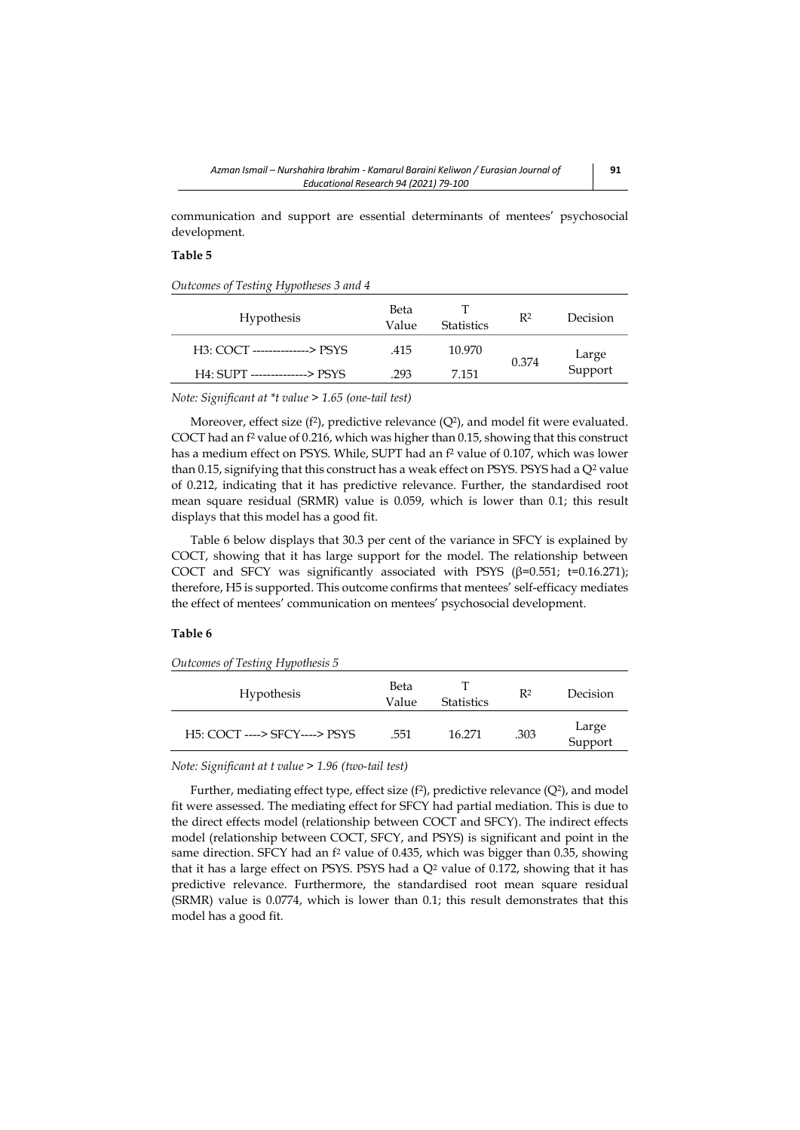communication and support are essential determinants of mentees' psychosocial development.

# **Table 5**

*Outcomes of Testing Hypotheses 3 and 4*

| Hypothesis                    | Beta<br>Value | <b>Statistics</b> | R <sup>2</sup> | Decision         |
|-------------------------------|---------------|-------------------|----------------|------------------|
| H3: COCT --------------> PSYS | .415          | 10.970            |                |                  |
| H4: SUPT --------------> PSYS | .293          | 7.151             | 0.374          | Large<br>Support |
|                               |               |                   |                |                  |

*Note: Significant at \*t value > 1.65 (one-tail test)*

Moreover, effect size  $(f^2)$ , predictive relevance  $(Q^2)$ , and model fit were evaluated. COCT had an f <sup>2</sup> value of 0.216, which was higher than 0.15, showing that this construct has a medium effect on PSYS. While, SUPT had an f <sup>2</sup> value of 0.107, which was lower than 0.15, signifying that this construct has a weak effect on PSYS. PSYS had a Q<sup>2</sup> value of 0.212, indicating that it has predictive relevance. Further, the standardised root mean square residual (SRMR) value is 0.059, which is lower than 0.1; this result displays that this model has a good fit.

Table 6 below displays that 30.3 per cent of the variance in SFCY is explained by COCT, showing that it has large support for the model. The relationship between COCT and SFCY was significantly associated with PSYS ( $\beta$ =0.551; t=0.16.271); therefore, H5 is supported. This outcome confirms that mentees' self-efficacy mediates the effect of mentees' communication on mentees' psychosocial development.

# **Table 6**

*Outcomes of Testing Hypothesis 5* 

| <b>Hypothesis</b>             | Beta<br>Value | <b>Statistics</b> | R <sup>2</sup> | Decision         |
|-------------------------------|---------------|-------------------|----------------|------------------|
| H5: COCT ----> SFCY----> PSYS | .551          | 16.271            | .303           | Large<br>Support |

*Note: Significant at t value > 1.96 (two-tail test)*

Further, mediating effect type, effect size  $(f^2)$ , predictive relevance  $(Q^2)$ , and model fit were assessed. The mediating effect for SFCY had partial mediation. This is due to the direct effects model (relationship between COCT and SFCY). The indirect effects model (relationship between COCT, SFCY, and PSYS) is significant and point in the same direction. SFCY had an f<sup>2</sup> value of 0.435, which was bigger than 0.35, showing that it has a large effect on PSYS. PSYS had a  $Q<sup>2</sup>$  value of 0.172, showing that it has predictive relevance. Furthermore, the standardised root mean square residual (SRMR) value is 0.0774, which is lower than 0.1; this result demonstrates that this model has a good fit.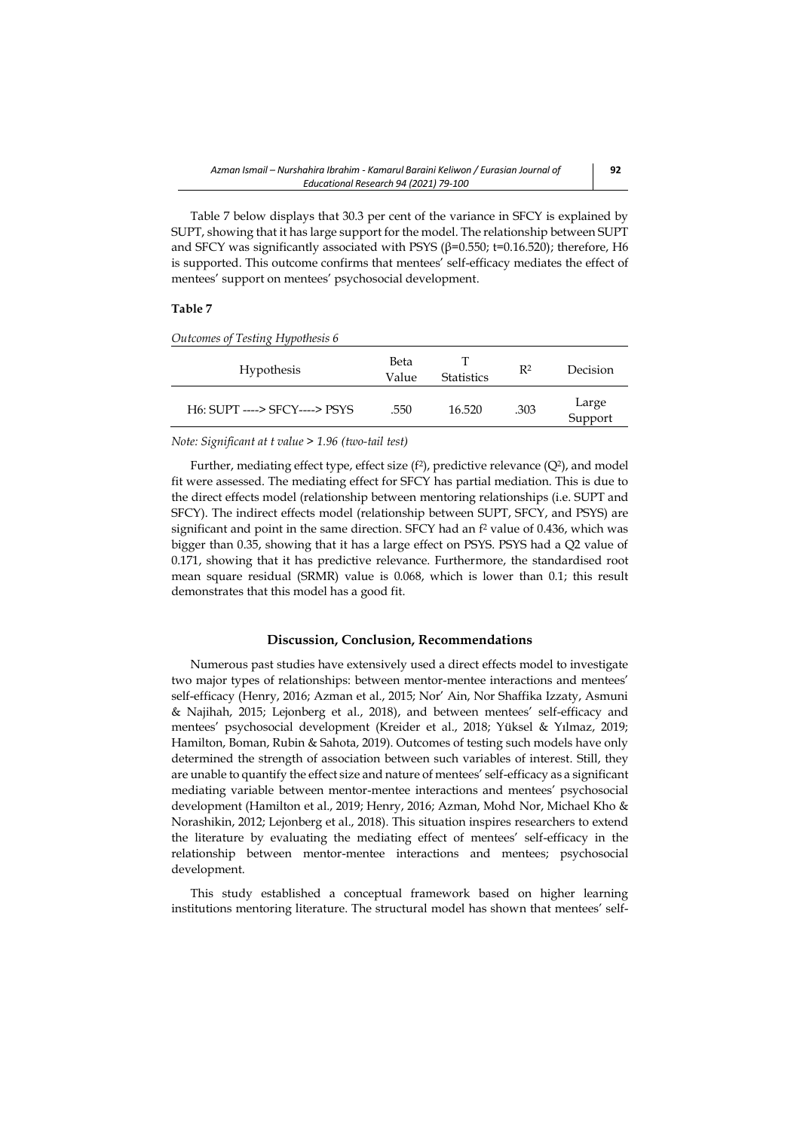Table 7 below displays that 30.3 per cent of the variance in SFCY is explained by SUPT, showing that it has large support for the model. The relationship between SUPT and SFCY was significantly associated with PSYS ( $\beta$ =0.550; t=0.16.520); therefore, H6 is supported. This outcome confirms that mentees' self-efficacy mediates the effect of mentees' support on mentees' psychosocial development.

## **Table 7**

*Outcomes of Testing Hypothesis 6*

| <b>Hypothesis</b>             | Beta<br>Value | <b>Statistics</b> | $\mathbb{R}^2$ | Decision         |
|-------------------------------|---------------|-------------------|----------------|------------------|
| H6: SUPT ----> SFCY----> PSYS | .550          | 16.520            | .303           | Large<br>Support |

*Note: Significant at t value > 1.96 (two-tail test)*

Further, mediating effect type, effect size  $(f^2)$ , predictive relevance  $(Q^2)$ , and model fit were assessed. The mediating effect for SFCY has partial mediation. This is due to the direct effects model (relationship between mentoring relationships (i.e. SUPT and SFCY). The indirect effects model (relationship between SUPT, SFCY, and PSYS) are significant and point in the same direction. SFCY had an f <sup>2</sup> value of 0.436, which was bigger than 0.35, showing that it has a large effect on PSYS. PSYS had a Q2 value of 0.171, showing that it has predictive relevance. Furthermore, the standardised root mean square residual (SRMR) value is 0.068, which is lower than 0.1; this result demonstrates that this model has a good fit.

### **Discussion, Conclusion, Recommendations**

Numerous past studies have extensively used a direct effects model to investigate two major types of relationships: between mentor-mentee interactions and mentees' self-efficacy (Henry, 2016; Azman et al., 2015; Nor' Ain, Nor Shaffika Izzaty, Asmuni & Najihah, 2015; Lejonberg et al., 2018), and between mentees' self-efficacy and mentees' psychosocial development (Kreider et al., 2018; Yüksel & Yılmaz, 2019; Hamilton, Boman, Rubin & Sahota, 2019). Outcomes of testing such models have only determined the strength of association between such variables of interest. Still, they are unable to quantify the effect size and nature of mentees' self-efficacy as a significant mediating variable between mentor-mentee interactions and mentees' psychosocial development (Hamilton et al., 2019; Henry, 2016; Azman, Mohd Nor, Michael Kho & Norashikin, 2012; Lejonberg et al., 2018). This situation inspires researchers to extend the literature by evaluating the mediating effect of mentees' self-efficacy in the relationship between mentor-mentee interactions and mentees; psychosocial development.

This study established a conceptual framework based on higher learning institutions mentoring literature. The structural model has shown that mentees' self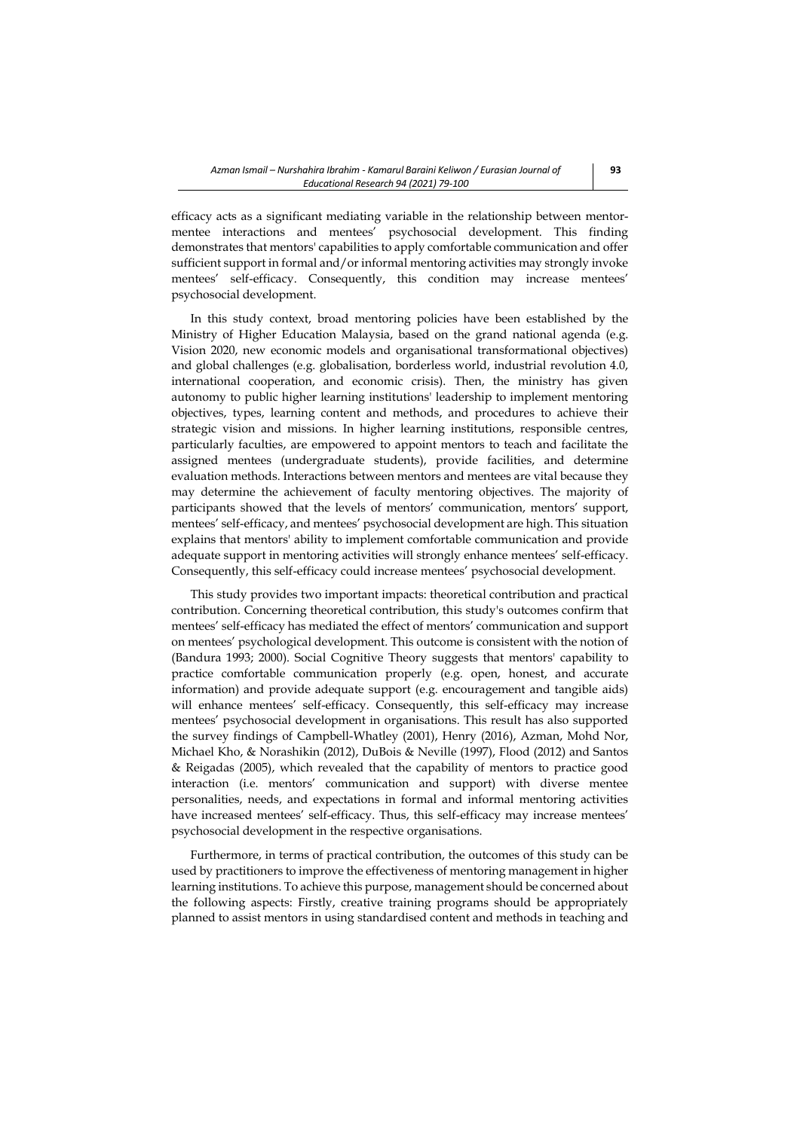efficacy acts as a significant mediating variable in the relationship between mentormentee interactions and mentees' psychosocial development. This finding demonstrates that mentors' capabilities to apply comfortable communication and offer sufficient support in formal and/or informal mentoring activities may strongly invoke mentees' self-efficacy. Consequently, this condition may increase mentees' psychosocial development.

In this study context, broad mentoring policies have been established by the Ministry of Higher Education Malaysia, based on the grand national agenda (e.g. Vision 2020, new economic models and organisational transformational objectives) and global challenges (e.g. globalisation, borderless world, industrial revolution 4.0, international cooperation, and economic crisis). Then, the ministry has given autonomy to public higher learning institutions' leadership to implement mentoring objectives, types, learning content and methods, and procedures to achieve their strategic vision and missions. In higher learning institutions, responsible centres, particularly faculties, are empowered to appoint mentors to teach and facilitate the assigned mentees (undergraduate students), provide facilities, and determine evaluation methods. Interactions between mentors and mentees are vital because they may determine the achievement of faculty mentoring objectives. The majority of participants showed that the levels of mentors' communication, mentors' support, mentees' self-efficacy, and mentees' psychosocial development are high. This situation explains that mentors' ability to implement comfortable communication and provide adequate support in mentoring activities will strongly enhance mentees' self-efficacy. Consequently, this self-efficacy could increase mentees' psychosocial development.

This study provides two important impacts: theoretical contribution and practical contribution. Concerning theoretical contribution, this study's outcomes confirm that mentees' self-efficacy has mediated the effect of mentors' communication and support on mentees' psychological development. This outcome is consistent with the notion of (Bandura 1993; 2000). Social Cognitive Theory suggests that mentors' capability to practice comfortable communication properly (e.g. open, honest, and accurate information) and provide adequate support (e.g. encouragement and tangible aids) will enhance mentees' self-efficacy. Consequently, this self-efficacy may increase mentees' psychosocial development in organisations. This result has also supported the survey findings of Campbell-Whatley (2001), Henry (2016), Azman, Mohd Nor, Michael Kho, & Norashikin (2012), DuBois & Neville (1997), Flood (2012) and Santos & Reigadas (2005), which revealed that the capability of mentors to practice good interaction (i.e. mentors' communication and support) with diverse mentee personalities, needs, and expectations in formal and informal mentoring activities have increased mentees' self-efficacy. Thus, this self-efficacy may increase mentees' psychosocial development in the respective organisations.

Furthermore, in terms of practical contribution, the outcomes of this study can be used by practitioners to improve the effectiveness of mentoring management in higher learning institutions. To achieve this purpose, management should be concerned about the following aspects: Firstly, creative training programs should be appropriately planned to assist mentors in using standardised content and methods in teaching and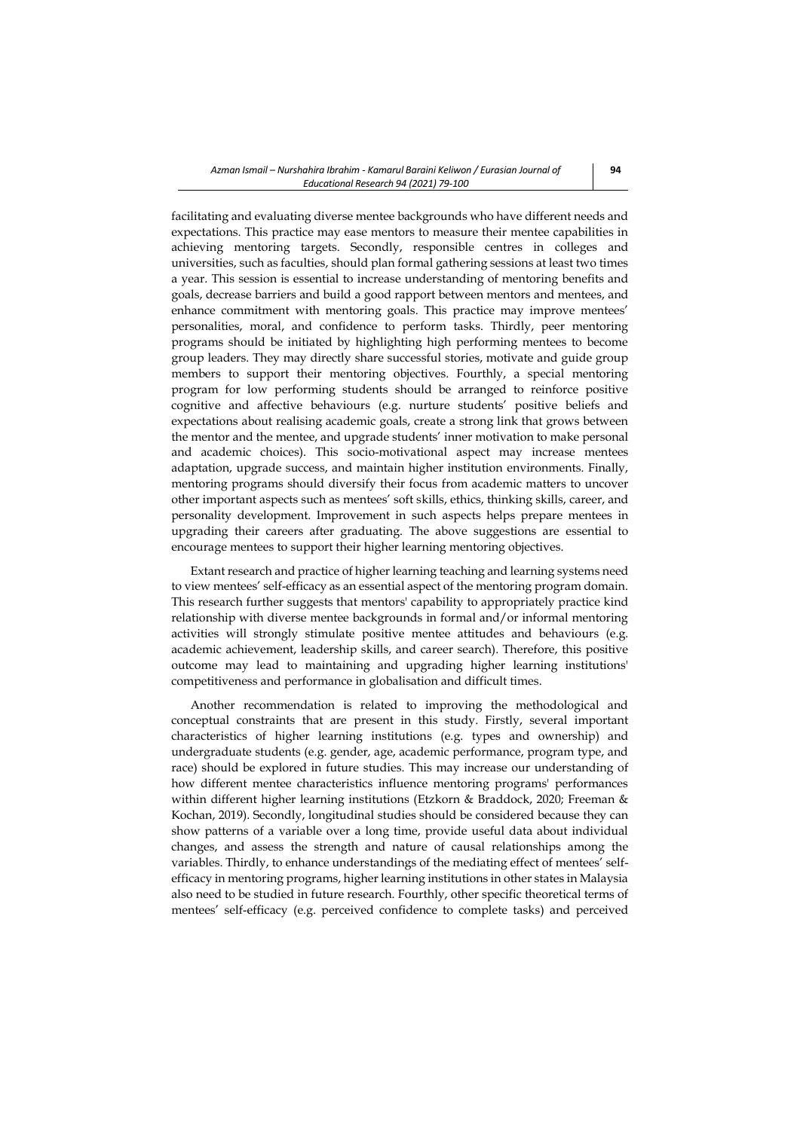facilitating and evaluating diverse mentee backgrounds who have different needs and expectations. This practice may ease mentors to measure their mentee capabilities in achieving mentoring targets. Secondly, responsible centres in colleges and universities, such as faculties, should plan formal gathering sessions at least two times a year. This session is essential to increase understanding of mentoring benefits and goals, decrease barriers and build a good rapport between mentors and mentees, and enhance commitment with mentoring goals. This practice may improve mentees' personalities, moral, and confidence to perform tasks. Thirdly, peer mentoring programs should be initiated by highlighting high performing mentees to become group leaders. They may directly share successful stories, motivate and guide group members to support their mentoring objectives. Fourthly, a special mentoring program for low performing students should be arranged to reinforce positive cognitive and affective behaviours (e.g. nurture students' positive beliefs and expectations about realising academic goals, create a strong link that grows between the mentor and the mentee, and upgrade students' inner motivation to make personal and academic choices). This socio-motivational aspect may increase mentees adaptation, upgrade success, and maintain higher institution environments. Finally, mentoring programs should diversify their focus from academic matters to uncover other important aspects such as mentees' soft skills, ethics, thinking skills, career, and personality development. Improvement in such aspects helps prepare mentees in upgrading their careers after graduating. The above suggestions are essential to encourage mentees to support their higher learning mentoring objectives.

Extant research and practice of higher learning teaching and learning systems need to view mentees' self-efficacy as an essential aspect of the mentoring program domain. This research further suggests that mentors' capability to appropriately practice kind relationship with diverse mentee backgrounds in formal and/or informal mentoring activities will strongly stimulate positive mentee attitudes and behaviours (e.g. academic achievement, leadership skills, and career search). Therefore, this positive outcome may lead to maintaining and upgrading higher learning institutions' competitiveness and performance in globalisation and difficult times.

Another recommendation is related to improving the methodological and conceptual constraints that are present in this study. Firstly, several important characteristics of higher learning institutions (e.g. types and ownership) and undergraduate students (e.g. gender, age, academic performance, program type, and race) should be explored in future studies. This may increase our understanding of how different mentee characteristics influence mentoring programs' performances within different higher learning institutions (Etzkorn & Braddock, 2020; Freeman & Kochan, 2019). Secondly, longitudinal studies should be considered because they can show patterns of a variable over a long time, provide useful data about individual changes, and assess the strength and nature of causal relationships among the variables. Thirdly, to enhance understandings of the mediating effect of mentees' selfefficacy in mentoring programs, higher learning institutions in other states in Malaysia also need to be studied in future research. Fourthly, other specific theoretical terms of mentees' self-efficacy (e.g. perceived confidence to complete tasks) and perceived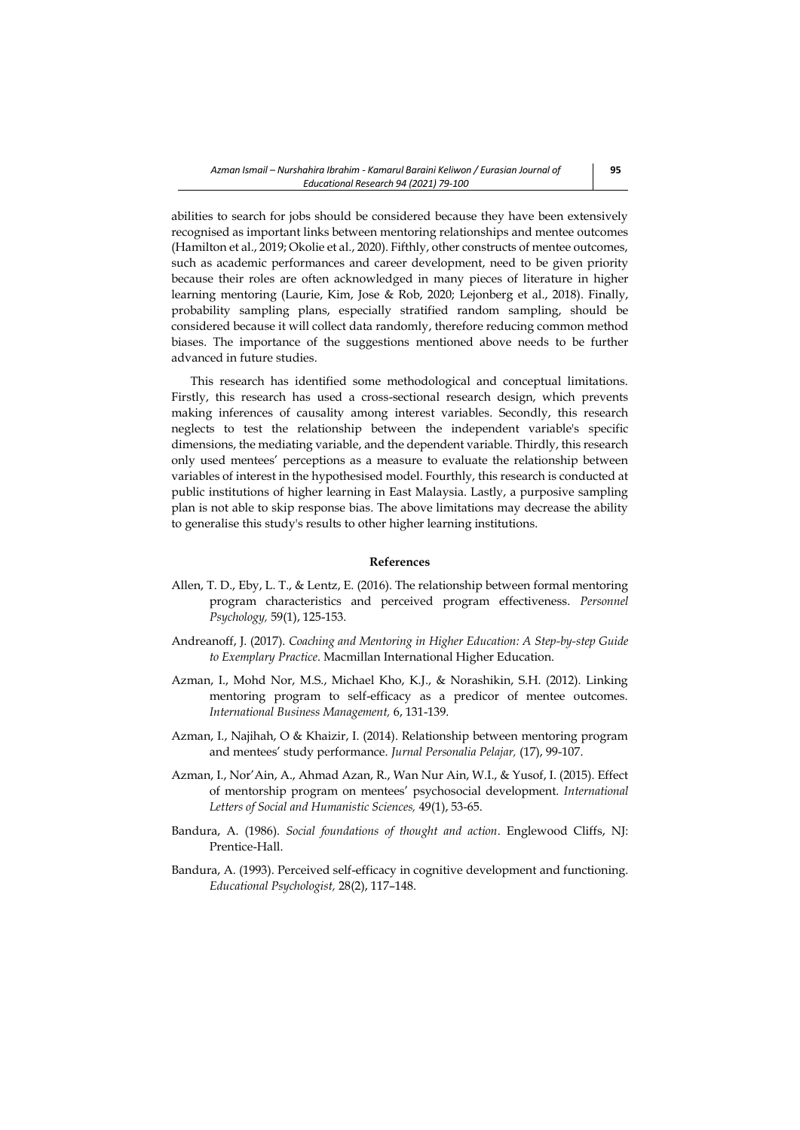abilities to search for jobs should be considered because they have been extensively recognised as important links between mentoring relationships and mentee outcomes (Hamilton et al., 2019; Okolie et al., 2020). Fifthly, other constructs of mentee outcomes, such as academic performances and career development, need to be given priority because their roles are often acknowledged in many pieces of literature in higher learning mentoring (Laurie, Kim, Jose & Rob, 2020; Lejonberg et al., 2018). Finally, probability sampling plans, especially stratified random sampling, should be considered because it will collect data randomly, therefore reducing common method biases. The importance of the suggestions mentioned above needs to be further advanced in future studies.

This research has identified some methodological and conceptual limitations. Firstly, this research has used a cross-sectional research design, which prevents making inferences of causality among interest variables. Secondly, this research neglects to test the relationship between the independent variable's specific dimensions, the mediating variable, and the dependent variable. Thirdly, this research only used mentees' perceptions as a measure to evaluate the relationship between variables of interest in the hypothesised model. Fourthly, this research is conducted at public institutions of higher learning in East Malaysia. Lastly, a purposive sampling plan is not able to skip response bias. The above limitations may decrease the ability to generalise this study's results to other higher learning institutions.

#### **References**

- Allen, T. D., Eby, L. T., & Lentz, E. (2016). The relationship between formal mentoring program characteristics and perceived program effectiveness. *Personnel Psychology,* 59(1), 125-153.
- Andreanoff, J. (2017). *Coaching and Mentoring in Higher Education: A Step-by-step Guide to Exemplary Practice*. Macmillan International Higher Education.
- Azman, I., Mohd Nor, M.S., Michael Kho, K.J., & Norashikin, S.H. (2012). Linking mentoring program to self-efficacy as a predicor of mentee outcomes. *International Business Management,* 6, 131-139.
- Azman, I., Najihah, O & Khaizir, I. (2014). Relationship between mentoring program and mentees' study performance. *Jurnal Personalia Pelajar,* (17), 99-107.
- Azman, I., Nor'Ain, A., Ahmad Azan, R., Wan Nur Ain, W.I., & Yusof, I. (2015). Effect of mentorship program on mentees' psychosocial development. *International Letters of Social and Humanistic Sciences,* 49(1), 53-65.
- Bandura, A. (1986). *Social foundations of thought and action*. Englewood Cliffs, NJ: Prentice-Hall.
- Bandura, A. (1993). Perceived self-efficacy in cognitive development and functioning. *Educational Psychologist,* 28(2), 117–148.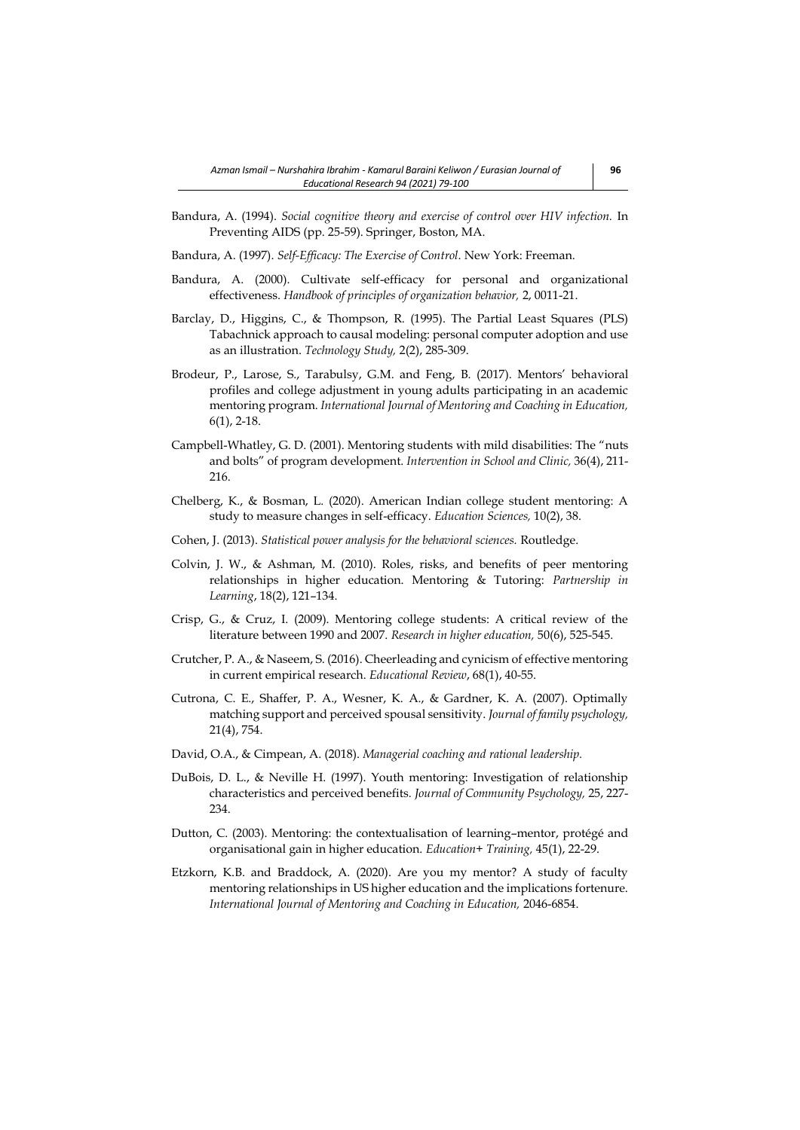Bandura, A. (1994). *Social cognitive theory and exercise of control over HIV infection.* In Preventing AIDS (pp. 25-59). Springer, Boston, MA.

Bandura, A. (1997). *Self-Efficacy: The Exercise of Control*. New York: Freeman.

- Bandura, A. (2000). Cultivate self-efficacy for personal and organizational effectiveness. *Handbook of principles of organization behavior,* 2, 0011-21.
- Barclay, D., Higgins, C., & Thompson, R. (1995). The Partial Least Squares (PLS) Tabachnick approach to causal modeling: personal computer adoption and use as an illustration. *Technology Study,* 2(2), 285-309.
- Brodeur, P., Larose, S., Tarabulsy, G.M. and Feng, B. (2017). Mentors' behavioral profiles and college adjustment in young adults participating in an academic mentoring program. *International Journal of Mentoring and Coaching in Education,* 6(1), 2-18.
- Campbell-Whatley, G. D. (2001). Mentoring students with mild disabilities: The "nuts and bolts" of program development. *Intervention in School and Clinic,* 36(4), 211- 216.
- Chelberg, K., & Bosman, L. (2020). American Indian college student mentoring: A study to measure changes in self-efficacy. *Education Sciences,* 10(2), 38.
- Cohen, J. (2013). *Statistical power analysis for the behavioral sciences.* Routledge.
- Colvin, J. W., & Ashman, M. (2010). Roles, risks, and benefits of peer mentoring relationships in higher education. Mentoring & Tutoring: *Partnership in Learning*, 18(2), 121–134.
- Crisp, G., & Cruz, I. (2009). Mentoring college students: A critical review of the literature between 1990 and 2007. *Research in higher education,* 50(6), 525-545.
- Crutcher, P. A., & Naseem, S. (2016). Cheerleading and cynicism of effective mentoring in current empirical research. *Educational Review*, 68(1), 40-55.
- Cutrona, C. E., Shaffer, P. A., Wesner, K. A., & Gardner, K. A. (2007). Optimally matching support and perceived spousal sensitivity. *Journal of family psychology,* 21(4), 754.
- David, O.A., & Cimpean, A. (2018). *Managerial coaching and rational leadership.*
- DuBois, D. L., & Neville H. (1997). Youth mentoring: Investigation of relationship characteristics and perceived benefits*. Journal of Community Psychology,* 25, 227- 234.
- Dutton, C. (2003). Mentoring: the contextualisation of learning–mentor, protégé and organisational gain in higher education. *Education+ Training,* 45(1), 22-29.
- Etzkorn, K.B. and Braddock, A. (2020). Are you my mentor? A study of faculty mentoring relationships in US higher education and the implications fortenure. *International Journal of Mentoring and Coaching in Education,* 2046-6854.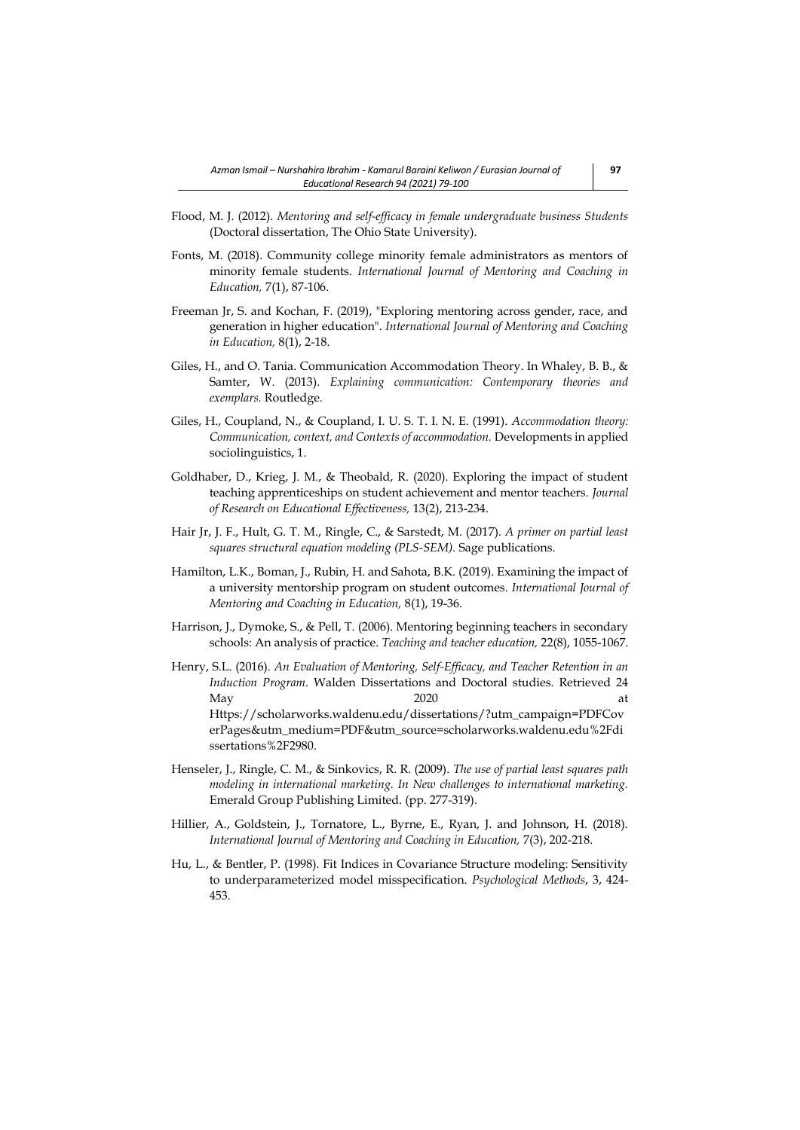- Flood, M. J. (2012). *Mentoring and self-efficacy in female undergraduate business Students*  (Doctoral dissertation, The Ohio State University).
- Fonts, M. (2018). Community college minority female administrators as mentors of minority female students. *International Journal of Mentoring and Coaching in Education,* 7(1), 87-106.
- Freeman Jr, S. and Kochan, F. (2019), "Exploring mentoring across gender, race, and generation in higher education". *International Journal of Mentoring and Coaching in Education,* 8(1), 2-18.
- Giles, H., and O. Tania. Communication Accommodation Theory. In Whaley, B. B., & Samter, W. (2013). *Explaining communication: Contemporary theories and exemplars.* Routledge.
- Giles, H., Coupland, N., & Coupland, I. U. S. T. I. N. E. (1991). *Accommodation theory: Communication, context, and Contexts of accommodation.* Developments in applied sociolinguistics, 1.
- Goldhaber, D., Krieg, J. M., & Theobald, R. (2020). Exploring the impact of student teaching apprenticeships on student achievement and mentor teachers. *Journal of Research on Educational Effectiveness,* 13(2), 213-234.
- Hair Jr, J. F., Hult, G. T. M., Ringle, C., & Sarstedt, M. (2017). *A primer on partial least squares structural equation modeling (PLS-SEM).* Sage publications.
- Hamilton, L.K., Boman, J., Rubin, H. and Sahota, B.K. (2019). Examining the impact of a university mentorship program on student outcomes*. International Journal of Mentoring and Coaching in Education,* 8(1), 19-36.
- Harrison, J., Dymoke, S., & Pell, T. (2006). Mentoring beginning teachers in secondary schools: An analysis of practice. *Teaching and teacher education,* 22(8), 1055-1067.
- Henry, S.L. (2016). *An Evaluation of Mentoring, Self-Efficacy, and Teacher Retention in an Induction Program*. Walden Dissertations and Doctoral studies. Retrieved 24 May 2020 at [Https://scholarworks.waldenu.edu/dissertations/?utm\\_campaign=PDFCov](https://scholarworks.waldenu.edu/dissertations/?utm_campaign=PDFCoverPages&utm_medium=PDF&utm_source=scholarworks.waldenu.edu%2Fdissertations%2F2980) [erPages&utm\\_medium=PDF&utm\\_source=scholarworks.waldenu.edu%2Fdi](https://scholarworks.waldenu.edu/dissertations/?utm_campaign=PDFCoverPages&utm_medium=PDF&utm_source=scholarworks.waldenu.edu%2Fdissertations%2F2980) [ssertations%2F2980.](https://scholarworks.waldenu.edu/dissertations/?utm_campaign=PDFCoverPages&utm_medium=PDF&utm_source=scholarworks.waldenu.edu%2Fdissertations%2F2980)
- Henseler, J., Ringle, C. M., & Sinkovics, R. R. (2009). *The use of partial least squares path modeling in international marketing. In New challenges to international marketing.*  Emerald Group Publishing Limited. (pp. 277-319).
- Hillier, A., Goldstein, J., Tornatore, L., Byrne, E., Ryan, J. and Johnson, H. (2018). *International Journal of Mentoring and Coaching in Education,* 7(3), 202-218.
- Hu, L., & Bentler, P. (1998). Fit Indices in Covariance Structure modeling: Sensitivity to underparameterized model misspecification. *Psychological Methods*, 3, 424- 453.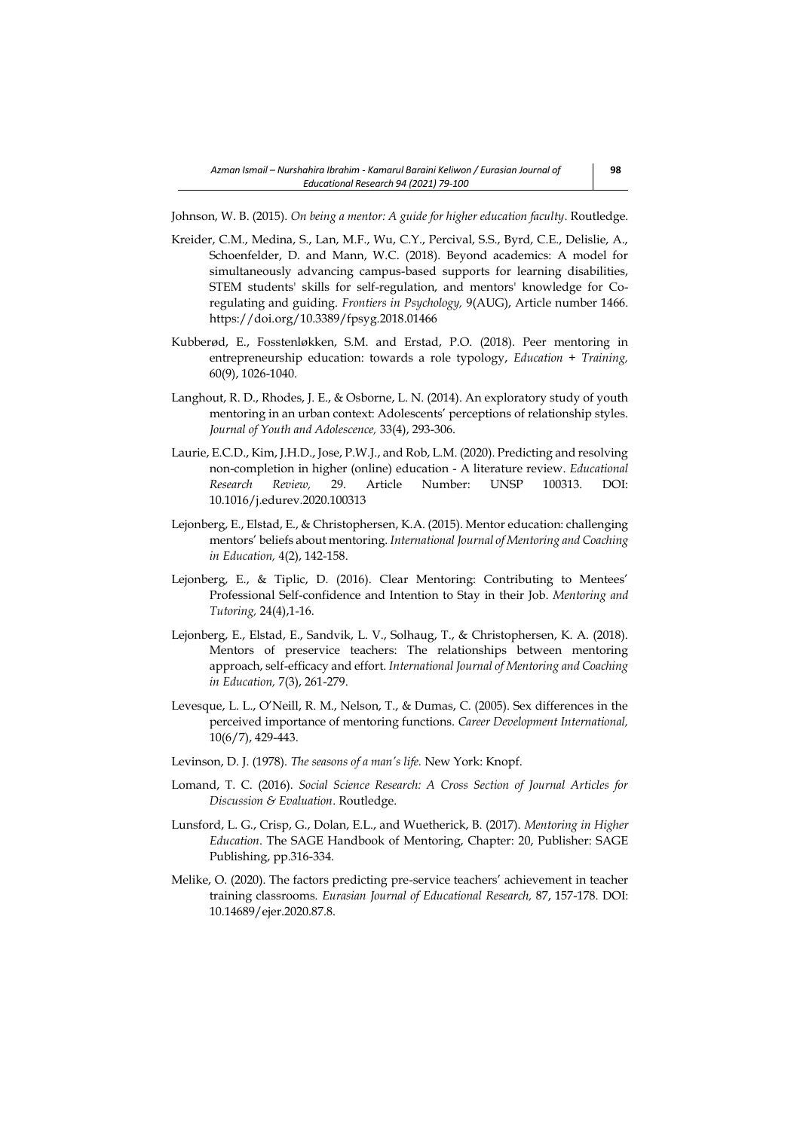Johnson, W. B. (2015). *On being a mentor: A guide for higher education faculty*. Routledge.

- Kreider, C.M., Medina, S., Lan, M.F., Wu, C.Y., Percival, S.S., Byrd, C.E., Delislie, A., Schoenfelder, D. and Mann, W.C. (2018). Beyond academics: A model for simultaneously advancing campus-based supports for learning disabilities, STEM students' skills for self-regulation, and mentors' knowledge for Coregulating and guiding. *Frontiers in Psychology,* 9(AUG), Article number 1466. <https://doi.org/10.3389/fpsyg.2018.01466>
- Kubberød, E., Fosstenløkken, S.M. and Erstad, P.O. (2018). Peer mentoring in entrepreneurship education: towards a role typology, *Education + Training,* 60(9), 1026-1040.
- Langhout, R. D., Rhodes, J. E., & Osborne, L. N. (2014). An exploratory study of youth mentoring in an urban context: Adolescents' perceptions of relationship styles. *Journal of Youth and Adolescence,* 33(4), 293-306.
- Laurie, E.C.D., Kim, J.H.D., Jose, P.W.J., and Rob, L.M. (2020). Predicting and resolving non-completion in higher (online) education - A literature review. *Educational Research Review,* 29. Article Number: UNSP 100313. DOI: 10.1016/j.edurev.2020.100313
- Lejonberg, E., Elstad, E., & Christophersen, K.A. (2015). Mentor education: challenging mentors' beliefs about mentoring. *International Journal of Mentoring and Coaching in Education,* 4(2), 142-158.
- Lejonberg, E., & Tiplic, D. (2016). Clear Mentoring: Contributing to Mentees' Professional Self-confidence and Intention to Stay in their Job. *Mentoring and Tutoring,* 24(4),1-16.
- Lejonberg, E., Elstad, E., Sandvik, L. V., Solhaug, T., & Christophersen, K. A. (2018). Mentors of preservice teachers: The relationships between mentoring approach, self-efficacy and effort. *International Journal of Mentoring and Coaching in Education,* 7(3), 261-279.
- Levesque, L. L., O'Neill, R. M., Nelson, T., & Dumas, C. (2005). Sex differences in the perceived importance of mentoring functions. *Career Development International,*  10(6/7), 429-443.
- Levinson, D. J. (1978). *The seasons of a man's life.* New York: Knopf.
- Lomand, T. C. (2016). *Social Science Research: A Cross Section of Journal Articles for Discussion & Evaluation*. Routledge.
- Lunsford, L. G., Crisp, G., Dolan, E.L., and Wuetherick, B. (2017). *Mentoring in Higher Education*. The SAGE Handbook of Mentoring, Chapter: 20, Publisher: SAGE Publishing, pp.316-334.
- Melike, O. (2020). The factors predicting pre-service teachers' achievement in teacher training classrooms. *Eurasian Journal of Educational Research,* 87, 157-178. DOI: 10.14689/ejer.2020.87.8.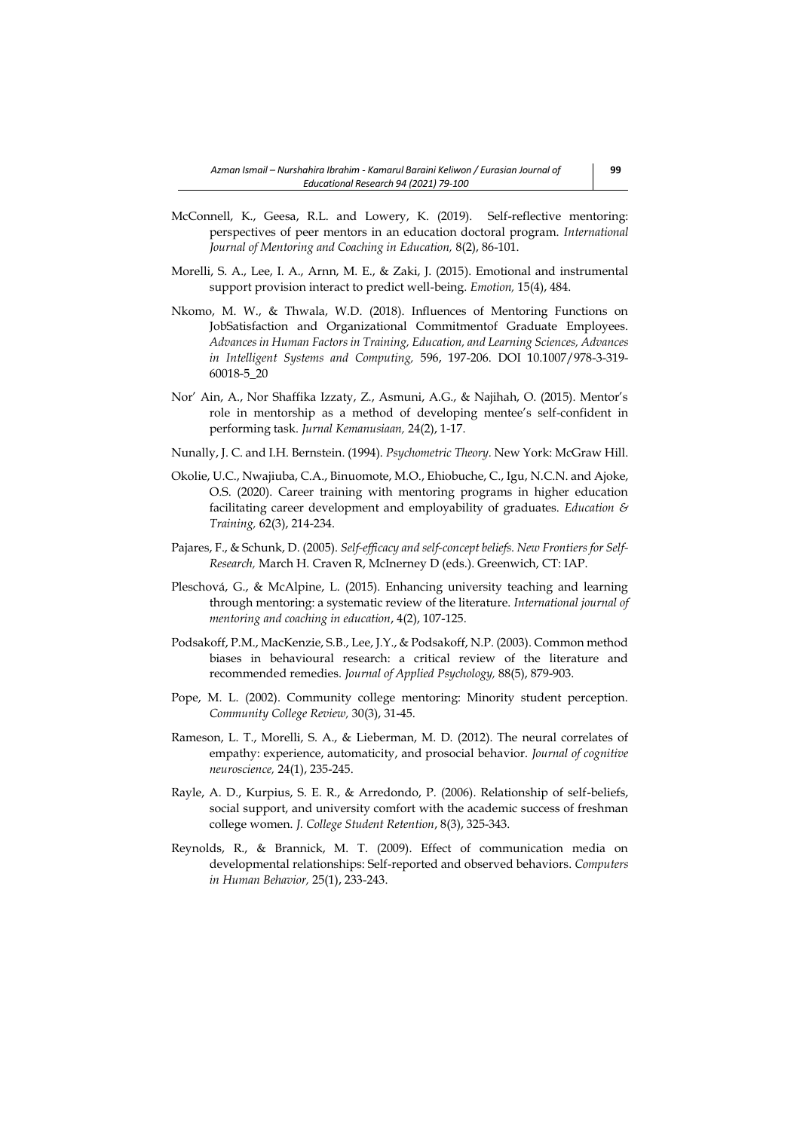- McConnell, K., Geesa, R.L. and Lowery, K. (2019). Self-reflective mentoring: perspectives of peer mentors in an education doctoral program. *International Journal of Mentoring and Coaching in Education,* 8(2), 86-101.
- Morelli, S. A., Lee, I. A., Arnn, M. E., & Zaki, J. (2015). Emotional and instrumental support provision interact to predict well-being. *Emotion,* 15(4), 484.
- Nkomo, M. W., & Thwala, W.D. (2018). Influences of Mentoring Functions on JobSatisfaction and Organizational Commitmentof Graduate Employees. *Advances in Human Factors in Training, Education, and Learning Sciences, Advances in Intelligent Systems and Computing,* 596, 197-206. DOI 10.1007/978-3-319- 60018-5\_20
- Nor' Ain, A., Nor Shaffika Izzaty, Z., Asmuni, A.G., & Najihah, O. (2015). Mentor's role in mentorship as a method of developing mentee's self-confident in performing task. *Jurnal Kemanusiaan,* 24(2), 1-17.
- Nunally, J. C. and I.H. Bernstein. (1994). *Psychometric Theory.* New York: McGraw Hill.
- Okolie, U.C., Nwajiuba, C.A., Binuomote, M.O., Ehiobuche, C., Igu, N.C.N. and Ajoke, O.S. (2020). Career training with mentoring programs in higher education facilitating career development and employability of graduates. *Education & Training,* 62(3), 214-234.
- Pajares, F., & Schunk, D. (2005). *Self-efficacy and self-concept beliefs. New Frontiers for Self-Research,* March H. Craven R, McInerney D (eds.). Greenwich, CT: IAP.
- Pleschová, G., & McAlpine, L. (2015). Enhancing university teaching and learning through mentoring: a systematic review of the literature. *International journal of mentoring and coaching in education*, 4(2), 107-125.
- Podsakoff, P.M., MacKenzie, S.B., Lee, J.Y., & Podsakoff, N.P. (2003). Common method biases in behavioural research: a critical review of the literature and recommended remedies. *Journal of Applied Psychology,* 88(5), 879-903.
- Pope, M. L. (2002). Community college mentoring: Minority student perception. *Community College Review,* 30(3), 31-45.
- Rameson, L. T., Morelli, S. A., & Lieberman, M. D. (2012). The neural correlates of empathy: experience, automaticity, and prosocial behavior. *Journal of cognitive neuroscience,* 24(1), 235-245.
- Rayle, A. D., Kurpius, S. E. R., & Arredondo, P. (2006). Relationship of self-beliefs, social support, and university comfort with the academic success of freshman college women. *J. College Student Retention*, 8(3), 325-343.
- Reynolds, R., & Brannick, M. T. (2009). Effect of communication media on developmental relationships: Self-reported and observed behaviors. *Computers in Human Behavior,* 25(1), 233-243.